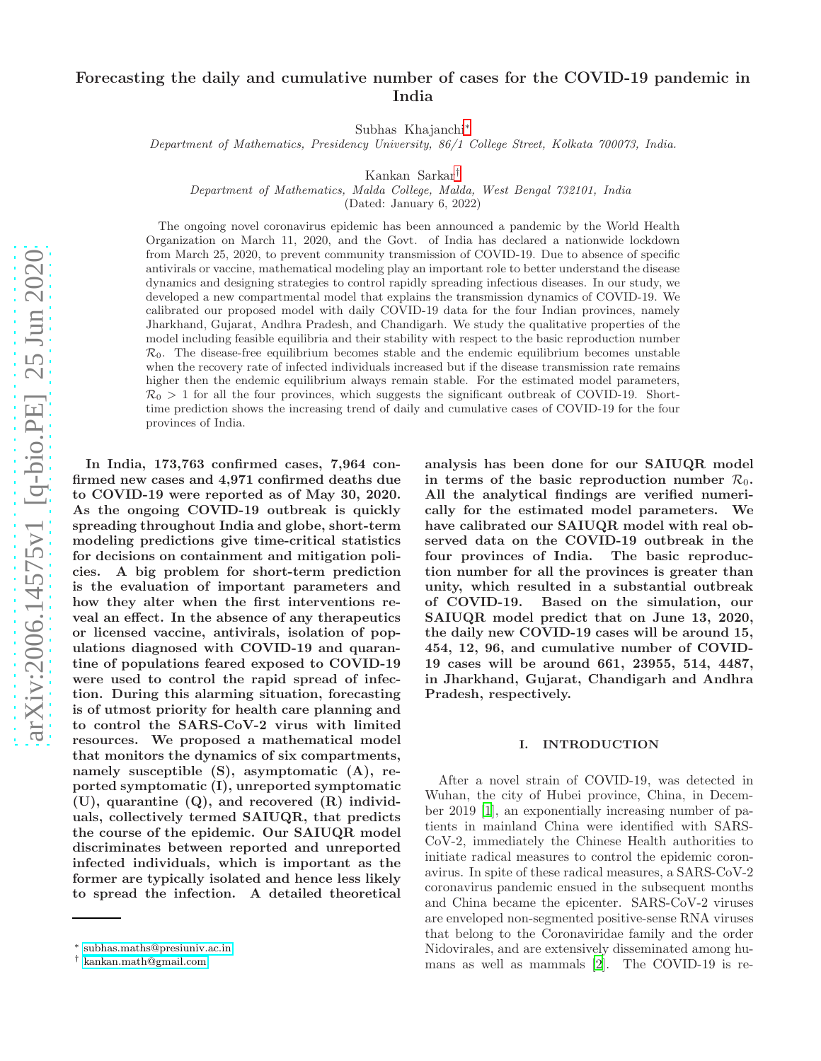# Forecasting the daily and cumulative number of cases for the COVID-19 pandemic in India

Subhas Khajanchi[∗](#page-0-0)

Department of Mathematics, Presidency University, 86/1 College Street, Kolkata 700073, India.

Kankan Sarkar[†](#page-0-1)

Department of Mathematics, Malda College, Malda, West Bengal 732101, India

(Dated: January 6, 2022)

The ongoing novel coronavirus epidemic has been announced a pandemic by the World Health Organization on March 11, 2020, and the Govt. of India has declared a nationwide lockdown from March 25, 2020, to prevent community transmission of COVID-19. Due to absence of specific antivirals or vaccine, mathematical modeling play an important role to better understand the disease dynamics and designing strategies to control rapidly spreading infectious diseases. In our study, we developed a new compartmental model that explains the transmission dynamics of COVID-19. We calibrated our proposed model with daily COVID-19 data for the four Indian provinces, namely Jharkhand, Gujarat, Andhra Pradesh, and Chandigarh. We study the qualitative properties of the model including feasible equilibria and their stability with respect to the basic reproduction number  $\mathcal{R}_0$ . The disease-free equilibrium becomes stable and the endemic equilibrium becomes unstable when the recovery rate of infected individuals increased but if the disease transmission rate remains higher then the endemic equilibrium always remain stable. For the estimated model parameters,  $\mathcal{R}_0 > 1$  for all the four provinces, which suggests the significant outbreak of COVID-19. Shorttime prediction shows the increasing trend of daily and cumulative cases of COVID-19 for the four provinces of India.

In India, 173,763 confirmed cases, 7,964 confirmed new cases and 4,971 confirmed deaths due to COVID-19 were reported as of May 30, 2020. As the ongoing COVID-19 outbreak is quickly spreading throughout India and globe, short-term modeling predictions give time-critical statistics for decisions on containment and mitigation policies. A big problem for short-term prediction is the evaluation of important parameters and how they alter when the first interventions reveal an effect. In the absence of any therapeutics or licensed vaccine, antivirals, isolation of populations diagnosed with COVID-19 and quarantine of populations feared exposed to COVID-19 were used to control the rapid spread of infection. During this alarming situation, forecasting is of utmost priority for health care planning and to control the SARS-CoV-2 virus with limited resources. We proposed a mathematical model that monitors the dynamics of six compartments, namely susceptible (S), asymptomatic (A), reported symptomatic (I), unreported symptomatic (U), quarantine (Q), and recovered (R) individuals, collectively termed SAIUQR, that predicts the course of the epidemic. Our SAIUQR model discriminates between reported and unreported infected individuals, which is important as the former are typically isolated and hence less likely to spread the infection. A detailed theoretical

analysis has been done for our SAIUQR model in terms of the basic reproduction number  $\mathcal{R}_0$ . All the analytical findings are verified numerically for the estimated model parameters. We have calibrated our SAIUQR model with real observed data on the COVID-19 outbreak in the four provinces of India. The basic reproduction number for all the provinces is greater than unity, which resulted in a substantial outbreak of COVID-19. Based on the simulation, our SAIUQR model predict that on June 13, 2020, the daily new COVID-19 cases will be around 15, 454, 12, 96, and cumulative number of COVID-19 cases will be around 661, 23955, 514, 4487, in Jharkhand, Gujarat, Chandigarh and Andhra Pradesh, respectively.

## I. INTRODUCTION

After a novel strain of COVID-19, was detected in Wuhan, the city of Hubei province, China, in December 2019 [\[1\]](#page-16-0), an exponentially increasing number of patients in mainland China were identified with SARS-CoV-2, immediately the Chinese Health authorities to initiate radical measures to control the epidemic coronavirus. In spite of these radical measures, a SARS-CoV-2 coronavirus pandemic ensued in the subsequent months and China became the epicenter. SARS-CoV-2 viruses are enveloped non-segmented positive-sense RNA viruses that belong to the Coronaviridae family and the order Nidovirales, and are extensively disseminated among humans as well as mammals [\[2](#page-16-1)]. The COVID-19 is re-

<span id="page-0-0"></span><sup>∗</sup> [subhas.maths@presiuniv.ac.in](mailto:subhas.maths@presiuniv.ac.in)

<span id="page-0-1"></span><sup>†</sup> [kankan.math@gmail.com](mailto:kankan.math@gmail.com)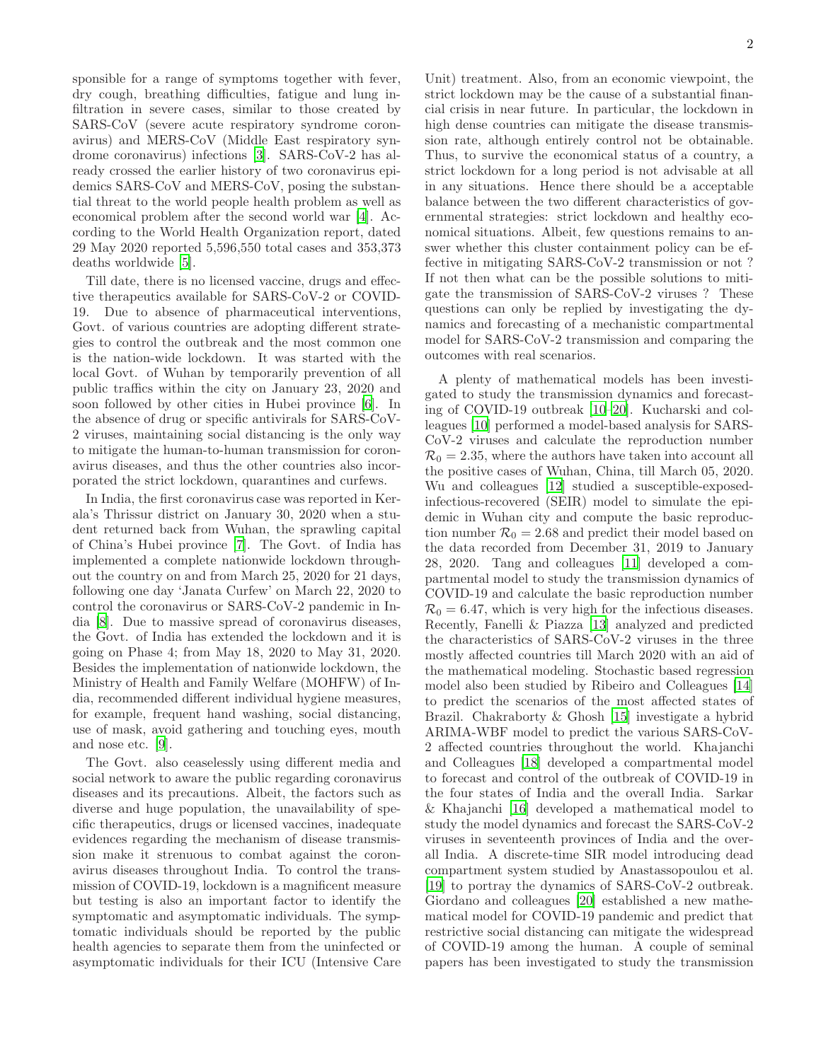sponsible for a range of symptoms together with fever, dry cough, breathing difficulties, fatigue and lung infiltration in severe cases, similar to those created by SARS-CoV (severe acute respiratory syndrome coronavirus) and MERS-CoV (Middle East respiratory syndrome coronavirus) infections [\[3](#page-16-2)]. SARS-CoV-2 has already crossed the earlier history of two coronavirus epidemics SARS-CoV and MERS-CoV, posing the substantial threat to the world people health problem as well as economical problem after the second world war [\[4\]](#page-16-3). According to the World Health Organization report, dated 29 May 2020 reported 5,596,550 total cases and 353,373 deaths worldwide [\[5\]](#page-16-4).

Till date, there is no licensed vaccine, drugs and effective therapeutics available for SARS-CoV-2 or COVID-19. Due to absence of pharmaceutical interventions, Govt. of various countries are adopting different strategies to control the outbreak and the most common one is the nation-wide lockdown. It was started with the local Govt. of Wuhan by temporarily prevention of all public traffics within the city on January 23, 2020 and soon followed by other cities in Hubei province [\[6](#page-16-5)]. In the absence of drug or specific antivirals for SARS-CoV-2 viruses, maintaining social distancing is the only way to mitigate the human-to-human transmission for coronavirus diseases, and thus the other countries also incorporated the strict lockdown, quarantines and curfews.

In India, the first coronavirus case was reported in Kerala's Thrissur district on January 30, 2020 when a student returned back from Wuhan, the sprawling capital of China's Hubei province [\[7](#page-16-6)]. The Govt. of India has implemented a complete nationwide lockdown throughout the country on and from March 25, 2020 for 21 days, following one day 'Janata Curfew' on March 22, 2020 to control the coronavirus or SARS-CoV-2 pandemic in India [\[8](#page-16-7)]. Due to massive spread of coronavirus diseases, the Govt. of India has extended the lockdown and it is going on Phase 4; from May 18, 2020 to May 31, 2020. Besides the implementation of nationwide lockdown, the Ministry of Health and Family Welfare (MOHFW) of India, recommended different individual hygiene measures, for example, frequent hand washing, social distancing, use of mask, avoid gathering and touching eyes, mouth and nose etc. [\[9](#page-16-8)].

The Govt. also ceaselessly using different media and social network to aware the public regarding coronavirus diseases and its precautions. Albeit, the factors such as diverse and huge population, the unavailability of specific therapeutics, drugs or licensed vaccines, inadequate evidences regarding the mechanism of disease transmission make it strenuous to combat against the coronavirus diseases throughout India. To control the transmission of COVID-19, lockdown is a magnificent measure but testing is also an important factor to identify the symptomatic and asymptomatic individuals. The symptomatic individuals should be reported by the public health agencies to separate them from the uninfected or asymptomatic individuals for their ICU (Intensive Care

Unit) treatment. Also, from an economic viewpoint, the strict lockdown may be the cause of a substantial financial crisis in near future. In particular, the lockdown in high dense countries can mitigate the disease transmission rate, although entirely control not be obtainable. Thus, to survive the economical status of a country, a strict lockdown for a long period is not advisable at all in any situations. Hence there should be a acceptable balance between the two different characteristics of governmental strategies: strict lockdown and healthy economical situations. Albeit, few questions remains to answer whether this cluster containment policy can be effective in mitigating SARS-CoV-2 transmission or not ? If not then what can be the possible solutions to mitigate the transmission of SARS-CoV-2 viruses ? These questions can only be replied by investigating the dynamics and forecasting of a mechanistic compartmental model for SARS-CoV-2 transmission and comparing the outcomes with real scenarios.

A plenty of mathematical models has been investigated to study the transmission dynamics and forecasting of COVID-19 outbreak [\[10](#page-16-9)[–20\]](#page-16-10). Kucharski and colleagues [\[10\]](#page-16-9) performed a model-based analysis for SARS-CoV-2 viruses and calculate the reproduction number  $\mathcal{R}_0 = 2.35$ , where the authors have taken into account all the positive cases of Wuhan, China, till March 05, 2020. Wu and colleagues [\[12](#page-16-11)] studied a susceptible-exposedinfectious-recovered (SEIR) model to simulate the epidemic in Wuhan city and compute the basic reproduction number  $\mathcal{R}_0 = 2.68$  and predict their model based on the data recorded from December 31, 2019 to January 28, 2020. Tang and colleagues [\[11\]](#page-16-12) developed a compartmental model to study the transmission dynamics of COVID-19 and calculate the basic reproduction number  $\mathcal{R}_0 = 6.47$ , which is very high for the infectious diseases. Recently, Fanelli & Piazza [\[13](#page-16-13)] analyzed and predicted the characteristics of SARS-CoV-2 viruses in the three mostly affected countries till March 2020 with an aid of the mathematical modeling. Stochastic based regression model also been studied by Ribeiro and Colleagues [\[14](#page-16-14)] to predict the scenarios of the most affected states of Brazil. Chakraborty & Ghosh [\[15\]](#page-16-15) investigate a hybrid ARIMA-WBF model to predict the various SARS-CoV-2 affected countries throughout the world. Khajanchi and Colleagues [\[18](#page-16-16)] developed a compartmental model to forecast and control of the outbreak of COVID-19 in the four states of India and the overall India. Sarkar & Khajanchi [\[16](#page-16-17)] developed a mathematical model to study the model dynamics and forecast the SARS-CoV-2 viruses in seventeenth provinces of India and the overall India. A discrete-time SIR model introducing dead compartment system studied by Anastassopoulou et al. [\[19\]](#page-16-18) to portray the dynamics of SARS-CoV-2 outbreak. Giordano and colleagues [\[20](#page-16-10)] established a new mathematical model for COVID-19 pandemic and predict that restrictive social distancing can mitigate the widespread of COVID-19 among the human. A couple of seminal papers has been investigated to study the transmission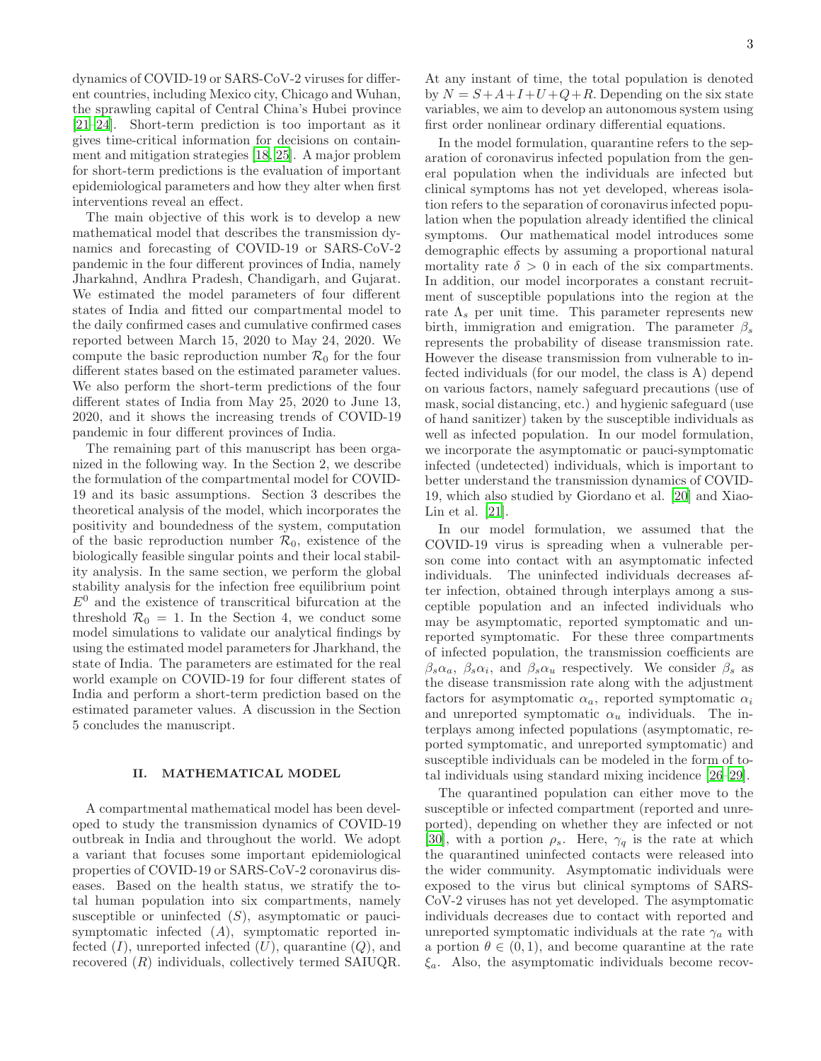dynamics of COVID-19 or SARS-CoV-2 viruses for different countries, including Mexico city, Chicago and Wuhan, the sprawling capital of Central China's Hubei province [\[21](#page-16-19)[–24\]](#page-17-0). Short-term prediction is too important as it gives time-critical information for decisions on containment and mitigation strategies [\[18,](#page-16-16) [25\]](#page-17-1). A major problem for short-term predictions is the evaluation of important epidemiological parameters and how they alter when first interventions reveal an effect.

The main objective of this work is to develop a new mathematical model that describes the transmission dynamics and forecasting of COVID-19 or SARS-CoV-2 pandemic in the four different provinces of India, namely Jharkahnd, Andhra Pradesh, Chandigarh, and Gujarat. We estimated the model parameters of four different states of India and fitted our compartmental model to the daily confirmed cases and cumulative confirmed cases reported between March 15, 2020 to May 24, 2020. We compute the basic reproduction number  $\mathcal{R}_0$  for the four different states based on the estimated parameter values. We also perform the short-term predictions of the four different states of India from May 25, 2020 to June 13, 2020, and it shows the increasing trends of COVID-19 pandemic in four different provinces of India.

The remaining part of this manuscript has been organized in the following way. In the Section 2, we describe the formulation of the compartmental model for COVID-19 and its basic assumptions. Section 3 describes the theoretical analysis of the model, which incorporates the positivity and boundedness of the system, computation of the basic reproduction number  $\mathcal{R}_0$ , existence of the biologically feasible singular points and their local stability analysis. In the same section, we perform the global stability analysis for the infection free equilibrium point  $E^0$  and the existence of transcritical bifurcation at the threshold  $\mathcal{R}_0 = 1$ . In the Section 4, we conduct some model simulations to validate our analytical findings by using the estimated model parameters for Jharkhand, the state of India. The parameters are estimated for the real world example on COVID-19 for four different states of India and perform a short-term prediction based on the estimated parameter values. A discussion in the Section 5 concludes the manuscript.

### II. MATHEMATICAL MODEL

A compartmental mathematical model has been developed to study the transmission dynamics of COVID-19 outbreak in India and throughout the world. We adopt a variant that focuses some important epidemiological properties of COVID-19 or SARS-CoV-2 coronavirus diseases. Based on the health status, we stratify the total human population into six compartments, namely susceptible or uninfected  $(S)$ , asymptomatic or paucisymptomatic infected (A), symptomatic reported infected  $(I)$ , unreported infected  $(U)$ , quarantine  $(Q)$ , and recovered (R) individuals, collectively termed SAIUQR.

At any instant of time, the total population is denoted by  $N = S + A + I + U + Q + R$ . Depending on the six state variables, we aim to develop an autonomous system using first order nonlinear ordinary differential equations.

In the model formulation, quarantine refers to the separation of coronavirus infected population from the general population when the individuals are infected but clinical symptoms has not yet developed, whereas isolation refers to the separation of coronavirus infected population when the population already identified the clinical symptoms. Our mathematical model introduces some demographic effects by assuming a proportional natural mortality rate  $\delta > 0$  in each of the six compartments. In addition, our model incorporates a constant recruitment of susceptible populations into the region at the rate  $\Lambda_s$  per unit time. This parameter represents new birth, immigration and emigration. The parameter  $\beta_s$ represents the probability of disease transmission rate. However the disease transmission from vulnerable to infected individuals (for our model, the class is A) depend on various factors, namely safeguard precautions (use of mask, social distancing, etc.) and hygienic safeguard (use of hand sanitizer) taken by the susceptible individuals as well as infected population. In our model formulation, we incorporate the asymptomatic or pauci-symptomatic infected (undetected) individuals, which is important to better understand the transmission dynamics of COVID-19, which also studied by Giordano et al. [\[20](#page-16-10)] and Xiao-Lin et al. [\[21](#page-16-19)].

In our model formulation, we assumed that the COVID-19 virus is spreading when a vulnerable person come into contact with an asymptomatic infected individuals. The uninfected individuals decreases after infection, obtained through interplays among a susceptible population and an infected individuals who may be asymptomatic, reported symptomatic and unreported symptomatic. For these three compartments of infected population, the transmission coefficients are  $\beta_s \alpha_a$ ,  $\beta_s \alpha_i$ , and  $\beta_s \alpha_u$  respectively. We consider  $\beta_s$  as the disease transmission rate along with the adjustment factors for asymptomatic  $\alpha_a$ , reported symptomatic  $\alpha_i$ and unreported symptomatic  $\alpha_u$  individuals. The interplays among infected populations (asymptomatic, reported symptomatic, and unreported symptomatic) and susceptible individuals can be modeled in the form of total individuals using standard mixing incidence [\[26](#page-17-2)[–29](#page-17-3)].

The quarantined population can either move to the susceptible or infected compartment (reported and unreported), depending on whether they are infected or not [\[30\]](#page-17-4), with a portion  $\rho_s$ . Here,  $\gamma_q$  is the rate at which the quarantined uninfected contacts were released into the wider community. Asymptomatic individuals were exposed to the virus but clinical symptoms of SARS-CoV-2 viruses has not yet developed. The asymptomatic individuals decreases due to contact with reported and unreported symptomatic individuals at the rate  $\gamma_a$  with a portion  $\theta \in (0,1)$ , and become quarantine at the rate  $\xi_a$ . Also, the asymptomatic individuals become recov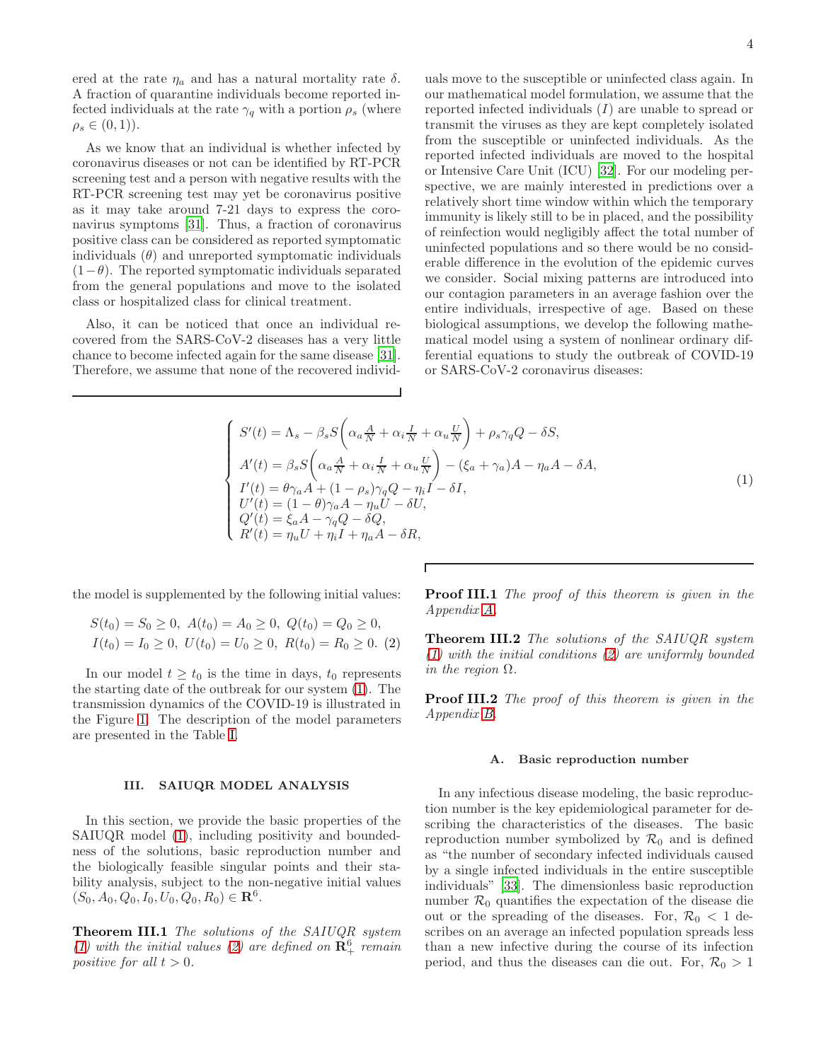ered at the rate  $\eta_a$  and has a natural mortality rate  $\delta$ . A fraction of quarantine individuals become reported infected individuals at the rate  $\gamma_q$  with a portion  $\rho_s$  (where  $\rho_s \in (0,1)$ .

As we know that an individual is whether infected by coronavirus diseases or not can be identified by RT-PCR screening test and a person with negative results with the RT-PCR screening test may yet be coronavirus positive as it may take around 7-21 days to express the coronavirus symptoms [\[31](#page-17-5)]. Thus, a fraction of coronavirus positive class can be considered as reported symptomatic individuals  $(\theta)$  and unreported symptomatic individuals  $(1-\theta)$ . The reported symptomatic individuals separated from the general populations and move to the isolated class or hospitalized class for clinical treatment.

Also, it can be noticed that once an individual recovered from the SARS-CoV-2 diseases has a very little chance to become infected again for the same disease [\[31\]](#page-17-5). Therefore, we assume that none of the recovered individuals move to the susceptible or uninfected class again. In our mathematical model formulation, we assume that the reported infected individuals (I) are unable to spread or transmit the viruses as they are kept completely isolated from the susceptible or uninfected individuals. As the reported infected individuals are moved to the hospital or Intensive Care Unit (ICU) [\[32\]](#page-17-6). For our modeling perspective, we are mainly interested in predictions over a relatively short time window within which the temporary immunity is likely still to be in placed, and the possibility of reinfection would negligibly affect the total number of uninfected populations and so there would be no considerable difference in the evolution of the epidemic curves we consider. Social mixing patterns are introduced into our contagion parameters in an average fashion over the entire individuals, irrespective of age. Based on these biological assumptions, we develop the following mathematical model using a system of nonlinear ordinary differential equations to study the outbreak of COVID-19 or SARS-CoV-2 coronavirus diseases:

<span id="page-3-0"></span>
$$
\begin{cases}\nS'(t) = \Lambda_s - \beta_s S \left( \alpha_a \frac{A}{N} + \alpha_i \frac{I}{N} + \alpha_u \frac{U}{N} \right) + \rho_s \gamma_q Q - \delta S, \\
A'(t) = \beta_s S \left( \alpha_a \frac{A}{N} + \alpha_i \frac{I}{N} + \alpha_u \frac{U}{N} \right) - (\xi_a + \gamma_a) A - \eta_a A - \delta A, \\
I'(t) = \theta \gamma_a A + (1 - \rho_s) \gamma_q Q - \eta_i I - \delta I, \\
U'(t) = (1 - \theta) \gamma_a A - \eta_u U - \delta U, \\
Q'(t) = \xi_a A - \gamma_q Q - \delta Q, \\
R'(t) = \eta_u U + \eta_i I + \eta_a A - \delta R,\n\end{cases} (1)
$$

the model is supplemented by the following initial values:

<span id="page-3-1"></span>
$$
S(t_0) = S_0 \ge 0, \ A(t_0) = A_0 \ge 0, \ Q(t_0) = Q_0 \ge 0,
$$
  

$$
I(t_0) = I_0 \ge 0, \ U(t_0) = U_0 \ge 0, \ R(t_0) = R_0 \ge 0. \ (2)
$$

In our model  $t \geq t_0$  is the time in days,  $t_0$  represents the starting date of the outbreak for our system [\(1\)](#page-3-0). The transmission dynamics of the COVID-19 is illustrated in the Figure [1.](#page-4-0) The description of the model parameters are presented in the Table [I.](#page-6-0)

### III. SAIUQR MODEL ANALYSIS

In this section, we provide the basic properties of the SAIUQR model [\(1\)](#page-3-0), including positivity and boundedness of the solutions, basic reproduction number and the biologically feasible singular points and their stability analysis, subject to the non-negative initial values  $(S_0, A_0, Q_0, I_0, U_0, Q_0, R_0) \in \mathbb{R}^6$ .

<span id="page-3-2"></span>Theorem III.1 The solutions of the SAIUQR system [\(1\)](#page-3-0) with the initial values [\(2\)](#page-3-1) are defined on  $\mathbb{R}^6_+$  remain positive for all  $t > 0$ .

**Proof III.1** The proof of this theorem is given in the Appendix [A.](#page-12-0)

<span id="page-3-3"></span>Theorem III.2 The solutions of the SAIUQR system [\(1\)](#page-3-0) with the initial conditions [\(2\)](#page-3-1) are uniformly bounded in the region  $\Omega$ .

**Proof III.2** The proof of this theorem is given in the Appendix [B.](#page-13-0)

### A. Basic reproduction number

In any infectious disease modeling, the basic reproduction number is the key epidemiological parameter for describing the characteristics of the diseases. The basic reproduction number symbolized by  $\mathcal{R}_0$  and is defined as "the number of secondary infected individuals caused by a single infected individuals in the entire susceptible individuals" [\[33\]](#page-17-7). The dimensionless basic reproduction number  $\mathcal{R}_0$  quantifies the expectation of the disease die out or the spreading of the diseases. For,  $\mathcal{R}_0 < 1$  describes on an average an infected population spreads less than a new infective during the course of its infection period, and thus the diseases can die out. For,  $\mathcal{R}_0 > 1$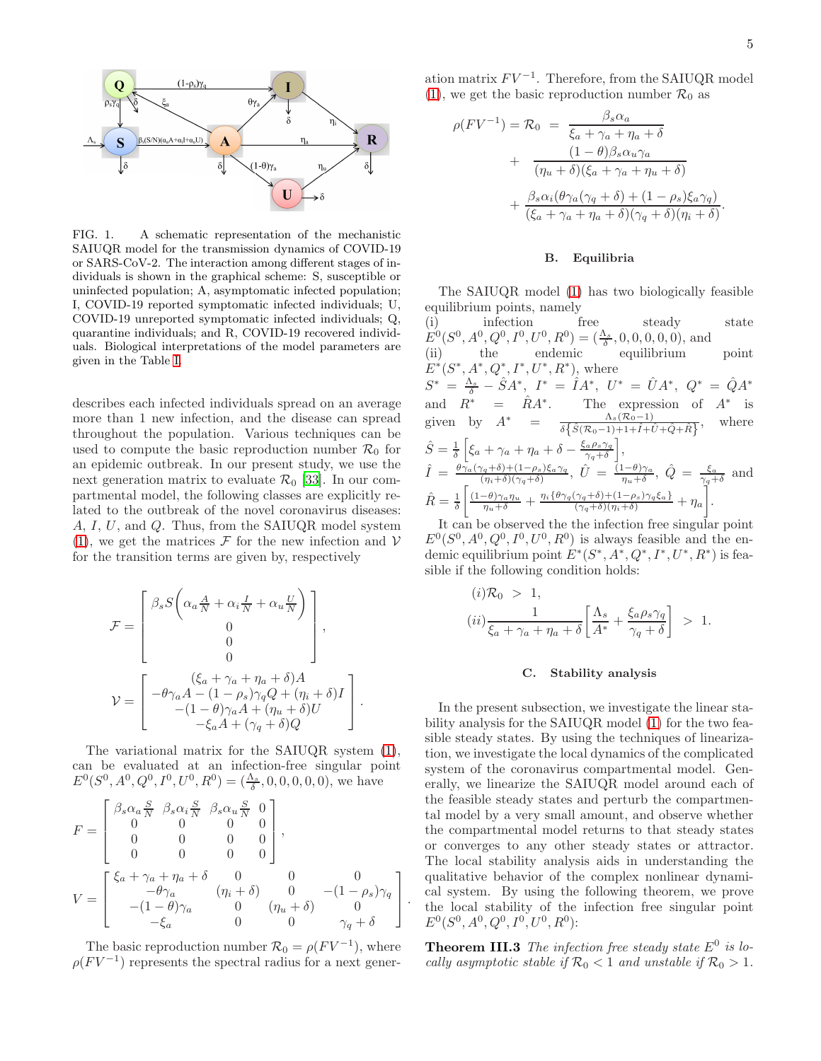

<span id="page-4-0"></span>FIG. 1. A schematic representation of the mechanistic SAIUQR model for the transmission dynamics of COVID-19 or SARS-CoV-2. The interaction among different stages of individuals is shown in the graphical scheme: S, susceptible or uninfected population; A, asymptomatic infected population; I, COVID-19 reported symptomatic infected individuals; U, COVID-19 unreported symptomatic infected individuals; Q, quarantine individuals; and R, COVID-19 recovered individuals. Biological interpretations of the model parameters are given in the Table [I.](#page-6-0)

describes each infected individuals spread on an average more than 1 new infection, and the disease can spread throughout the population. Various techniques can be used to compute the basic reproduction number  $\mathcal{R}_0$  for an epidemic outbreak. In our present study, we use the next generation matrix to evaluate  $\mathcal{R}_0$  [\[33\]](#page-17-7). In our compartmental model, the following classes are explicitly related to the outbreak of the novel coronavirus diseases: A, I, U, and Q. Thus, from the SAIUQR model system [\(1\)](#page-3-0), we get the matrices  $\mathcal F$  for the new infection and  $\mathcal V$ for the transition terms are given by, respectively

$$
\mathcal{F} = \begin{bmatrix} \beta_s S \bigg( \alpha_a \frac{A}{N} + \alpha_i \frac{I}{N} + \alpha_u \frac{U}{N} \bigg) \\ 0 \\ 0 \\ 0 \end{bmatrix},
$$

$$
\mathcal{V} = \begin{bmatrix} -\theta \gamma_a A - (1 - \rho_s) \gamma_q Q + (\eta_i + \delta) I \\ -(1 - \theta) \gamma_a A + (\eta_u + \delta) U \\ -\xi_a A + (\gamma_q + \delta) Q \end{bmatrix}.
$$

The variational matrix for the SAIUQR system [\(1\)](#page-3-0), can be evaluated at an infection-free singular point  $E^0(S^0, A^0, Q^0, I^0, U^0, R^0) = (\frac{\Lambda_s}{\delta}, 0, 0, 0, 0, 0)$ , we have

$$
F = \begin{bmatrix} \beta_s \alpha_a \frac{S}{N} & \beta_s \alpha_i \frac{S}{N} & \beta_s \alpha_u \frac{S}{N} & 0 \\ 0 & 0 & 0 & 0 \\ 0 & 0 & 0 & 0 \\ 0 & 0 & 0 & 0 \end{bmatrix},
$$
  
\n
$$
V = \begin{bmatrix} \xi_a + \gamma_a + \eta_a + \delta & 0 & 0 & 0 \\ -\theta \gamma_a & (\eta_i + \delta) & 0 & -(1 - \rho_s) \gamma_q \\ -(1 - \theta) \gamma_a & 0 & (\eta_u + \delta) & 0 \\ -\xi_a & 0 & 0 & \gamma_q + \delta \end{bmatrix}.
$$

The basic reproduction number  $\mathcal{R}_0 = \rho (F V^{-1})$ , where  $\rho(FV^{-1})$  represents the spectral radius for a next gener-

ation matrix  $FV^{-1}$ . Therefore, from the SAIUQR model [\(1\)](#page-3-0), we get the basic reproduction number  $\mathcal{R}_0$  as

$$
\rho(FV^{-1}) = \mathcal{R}_0 = \frac{\beta_s \alpha_a}{\xi_a + \gamma_a + \eta_a + \delta}
$$
  
+ 
$$
\frac{(1 - \theta)\beta_s \alpha_u \gamma_a}{(\eta_u + \delta)(\xi_a + \gamma_a + \eta_u + \delta)}
$$
  
+ 
$$
\frac{\beta_s \alpha_i(\theta \gamma_a(\gamma_q + \delta) + (1 - \rho_s)\xi_a \gamma_q)}{(\xi_a + \gamma_a + \eta_a + \delta)(\gamma_q + \delta)(\eta_i + \delta)}.
$$

### B. Equilibria

The SAIUQR model [\(1\)](#page-3-0) has two biologically feasible equilibrium points, namely

(i) infection free steady state  $E^0(S^0, A^0, Q^0, I^0, U^0, R^0) = (\frac{\Lambda_s}{\delta}, 0, 0, 0, 0, 0)$ , and (ii) the endemic equilibrium point  $E^*(S^*, A^*, Q^*, I^*, U^*, R^*)$ , where  $S^* = \frac{\Lambda_s}{\delta} - \hat{S}A^*,\,\,I^* = \hat{I}A^*,\,\,U^* = \hat{U}A^*,\,\,Q^* = \hat{Q}A^*$ and  $R^*$  =  $\hat{R}A^*$ . The expression of  $A^*$ is given by  $A^* = \frac{\Lambda_s(\mathcal{R}_0 - 1)}{\delta\{\hat{S}(\mathcal{R}_0 - 1) + 1 + \hat{I} + \hat{U} + \hat{Q} + \hat{R}\}},$  where  $\hat{S}=\frac{1}{\delta}$  $\left[\xi_a + \gamma_a + \eta_a + \delta - \frac{\xi_a \rho_s \gamma_q}{\gamma_a + \delta}\right]$  $\gamma_q+\delta$ i ,  $\hat{I} = \frac{\theta \gamma_a (\gamma_q + \delta) + (1 - \rho_s) \xi_a \gamma_q}{(n + \delta) (\gamma + \delta)}$  $\frac{\gamma_q+\delta+(1-\rho_s)\xi_a\gamma_q}{(\eta_i+\delta)(\gamma_q+\delta)},\ \hat{U}=\frac{(1-\theta)\gamma_a}{\eta_u+\delta}$  $\frac{(1-\theta)\gamma_a}{\eta_u+\delta},\ \hat{Q} = \frac{\xi_a}{\gamma_q+\delta}$  and  $\hat{R}=\frac{1}{\delta}$  $\left[ \frac{(1-\theta)\gamma_a\eta_u}{\eta_u+\delta} + \frac{\eta_i\{\theta\gamma_q(\gamma_q+\delta)+(1-\rho_s)\gamma_q\xi_a\}}{(\gamma_q+\delta)(\eta_i+\delta)} + \eta_a \right]$ Ĩ .

It can be observed the the infection free singular point  $E^0(S^0, A^0, Q^0, I^0, U^0, R^0)$  is always feasible and the endemic equilibrium point  $E^*(S^*, A^*, Q^*, I^*, U^*, R^*)$  is feasible if the following condition holds:

$$
(i) \mathcal{R}_0 > 1,
$$
  
\n
$$
(ii) \frac{1}{\xi_a + \gamma_a + \eta_a + \delta} \left[ \frac{\Lambda_s}{A^*} + \frac{\xi_a \rho_s \gamma_q}{\gamma_q + \delta} \right] > 1.
$$

#### C. Stability analysis

In the present subsection, we investigate the linear stability analysis for the SAIUQR model [\(1\)](#page-3-0) for the two feasible steady states. By using the techniques of linearization, we investigate the local dynamics of the complicated system of the coronavirus compartmental model. Generally, we linearize the SAIUQR model around each of the feasible steady states and perturb the compartmental model by a very small amount, and observe whether the compartmental model returns to that steady states or converges to any other steady states or attractor. The local stability analysis aids in understanding the qualitative behavior of the complex nonlinear dynamical system. By using the following theorem, we prove the local stability of the infection free singular point  $E^0(S^0, A^0, Q^0, I^0, U^0, R^0)$ :

<span id="page-4-1"></span>**Theorem III.3** The infection free steady state  $E^0$  is locally asymptotic stable if  $\mathcal{R}_0 < 1$  and unstable if  $\mathcal{R}_0 > 1$ .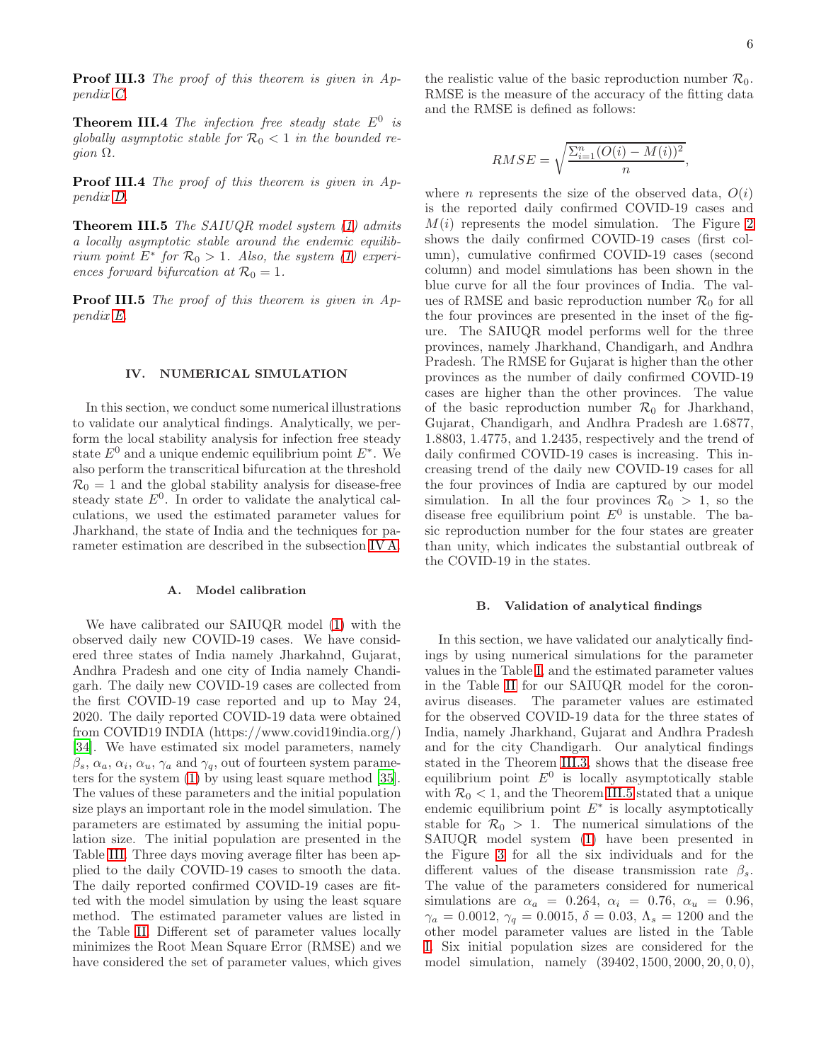**Proof III.3** The proof of this theorem is given in Appendix [C.](#page-13-1)

<span id="page-5-2"></span>**Theorem III.4** The infection free steady state  $E^0$  is globally asymptotic stable for  $\mathcal{R}_0 < 1$  in the bounded re $qion \Omega$ .

Proof III.4 The proof of this theorem is given in Appendix [D.](#page-14-0)

<span id="page-5-1"></span>**Theorem III.5** The SAIUQR model system [\(1\)](#page-3-0) admits a locally asymptotic stable around the endemic equilibrium point  $E^*$  for  $\mathcal{R}_0 > 1$ . Also, the system [\(1\)](#page-3-0) experiences forward bifurcation at  $\mathcal{R}_0 = 1$ .

Proof III.5 The proof of this theorem is given in Appendix [E.](#page-15-0)

## IV. NUMERICAL SIMULATION

In this section, we conduct some numerical illustrations to validate our analytical findings. Analytically, we perform the local stability analysis for infection free steady state  $E^0$  and a unique endemic equilibrium point  $E^*$ . We also perform the transcritical bifurcation at the threshold  $\mathcal{R}_0 = 1$  and the global stability analysis for disease-free steady state  $E^0$ . In order to validate the analytical calculations, we used the estimated parameter values for Jharkhand, the state of India and the techniques for parameter estimation are described in the subsection [IV A.](#page-5-0)

## <span id="page-5-0"></span>A. Model calibration

We have calibrated our SAIUQR model [\(1\)](#page-3-0) with the observed daily new COVID-19 cases. We have considered three states of India namely Jharkahnd, Gujarat, Andhra Pradesh and one city of India namely Chandigarh. The daily new COVID-19 cases are collected from the first COVID-19 case reported and up to May 24, 2020. The daily reported COVID-19 data were obtained from COVID19 INDIA (https://www.covid19india.org/) [\[34\]](#page-17-8). We have estimated six model parameters, namely  $\beta_s$ ,  $\alpha_a$ ,  $\alpha_i$ ,  $\alpha_u$ ,  $\gamma_a$  and  $\gamma_q$ , out of fourteen system parameters for the system [\(1\)](#page-3-0) by using least square method [\[35\]](#page-17-9). The values of these parameters and the initial population size plays an important role in the model simulation. The parameters are estimated by assuming the initial population size. The initial population are presented in the Table [III.](#page-8-0) Three days moving average filter has been applied to the daily COVID-19 cases to smooth the data. The daily reported confirmed COVID-19 cases are fitted with the model simulation by using the least square method. The estimated parameter values are listed in the Table [II.](#page-8-1) Different set of parameter values locally minimizes the Root Mean Square Error (RMSE) and we have considered the set of parameter values, which gives

the realistic value of the basic reproduction number  $\mathcal{R}_0$ . RMSE is the measure of the accuracy of the fitting data and the RMSE is defined as follows:

$$
RMSE = \sqrt{\frac{\sum_{i=1}^{n} (O(i) - M(i))^2}{n}},
$$

where *n* represents the size of the observed data,  $O(i)$ is the reported daily confirmed COVID-19 cases and  $M(i)$  represents the model simulation. The Figure [2](#page-7-0) shows the daily confirmed COVID-19 cases (first column), cumulative confirmed COVID-19 cases (second column) and model simulations has been shown in the blue curve for all the four provinces of India. The values of RMSE and basic reproduction number  $\mathcal{R}_0$  for all the four provinces are presented in the inset of the figure. The SAIUQR model performs well for the three provinces, namely Jharkhand, Chandigarh, and Andhra Pradesh. The RMSE for Gujarat is higher than the other provinces as the number of daily confirmed COVID-19 cases are higher than the other provinces. The value of the basic reproduction number  $\mathcal{R}_0$  for Jharkhand, Gujarat, Chandigarh, and Andhra Pradesh are 1.6877, 1.8803, 1.4775, and 1.2435, respectively and the trend of daily confirmed COVID-19 cases is increasing. This increasing trend of the daily new COVID-19 cases for all the four provinces of India are captured by our model simulation. In all the four provinces  $\mathcal{R}_0 > 1$ , so the disease free equilibrium point  $E^0$  is unstable. The basic reproduction number for the four states are greater than unity, which indicates the substantial outbreak of the COVID-19 in the states.

#### B. Validation of analytical findings

In this section, we have validated our analytically findings by using numerical simulations for the parameter values in the Table [I,](#page-6-0) and the estimated parameter values in the Table [II](#page-8-1) for our SAIUQR model for the coronavirus diseases. The parameter values are estimated for the observed COVID-19 data for the three states of India, namely Jharkhand, Gujarat and Andhra Pradesh and for the city Chandigarh. Our analytical findings stated in the Theorem [III.3,](#page-4-1) shows that the disease free equilibrium point  $E^0$  is locally asymptotically stable with  $\mathcal{R}_0 < 1$ , and the Theorem [III.5](#page-5-1) stated that a unique endemic equilibrium point  $E^*$  is locally asymptotically stable for  $\mathcal{R}_0 > 1$ . The numerical simulations of the SAIUQR model system [\(1\)](#page-3-0) have been presented in the Figure [3](#page-9-0) for all the six individuals and for the different values of the disease transmission rate  $\beta_s$ . The value of the parameters considered for numerical simulations are  $\alpha_a = 0.264, \alpha_i = 0.76, \alpha_u = 0.96,$  $\gamma_a = 0.0012$ ,  $\gamma_q = 0.0015$ ,  $\delta = 0.03$ ,  $\Lambda_s = 1200$  and the other model parameter values are listed in the Table [I.](#page-6-0) Six initial population sizes are considered for the model simulation, namely  $(39402, 1500, 2000, 20, 0, 0)$ ,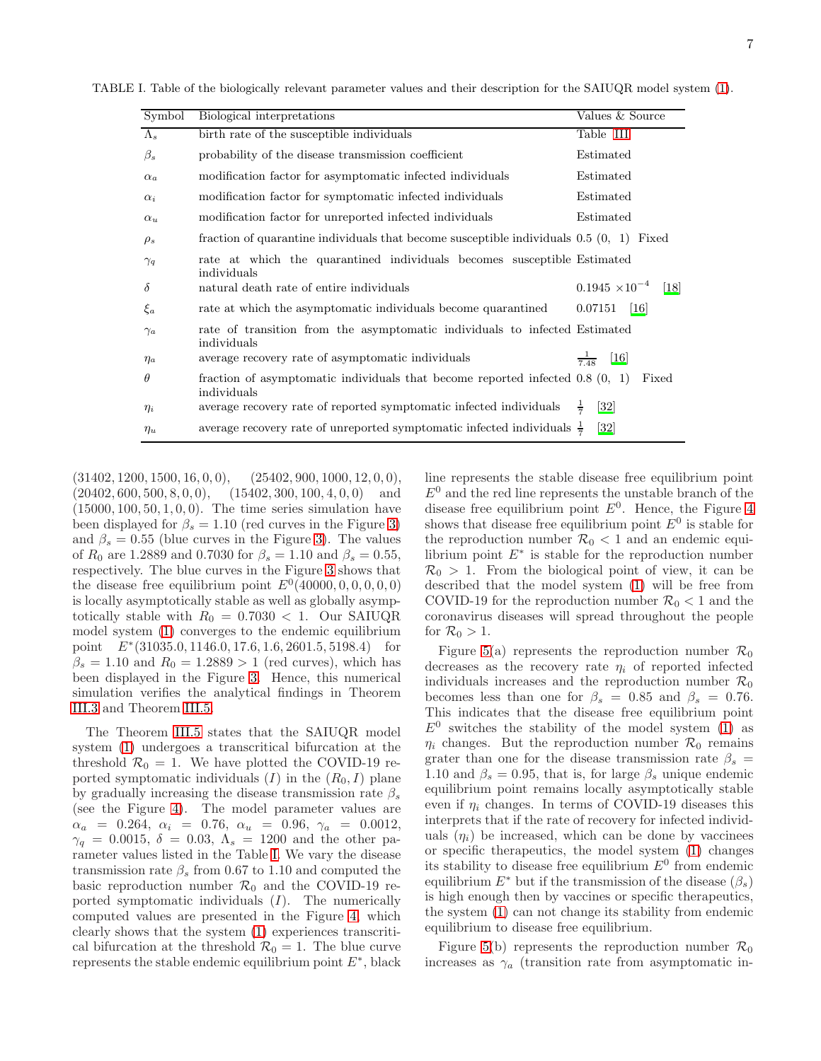TABLE I. Table of the biologically relevant parameter values and their description for the SAIUQR model system [\(1\)](#page-3-0).

<span id="page-6-0"></span>

| Symbol      | Biological interpretations                                                                    | Values & Source                               |
|-------------|-----------------------------------------------------------------------------------------------|-----------------------------------------------|
| $\Lambda_s$ | birth rate of the susceptible individuals                                                     | Table III                                     |
| $\beta_s$   | probability of the disease transmission coefficient                                           | Estimated                                     |
| $\alpha_a$  | modification factor for asymptomatic infected individuals                                     | Estimated                                     |
| $\alpha_i$  | modification factor for symptomatic infected individuals                                      | Estimated                                     |
| $\alpha_u$  | modification factor for unreported infected individuals                                       | Estimated                                     |
| $\rho_s$    | fraction of quarantine individuals that become susceptible individuals $0.5(0, 1)$ Fixed      |                                               |
| $\gamma_q$  | rate at which the quarantined individuals becomes susceptible Estimated<br>individuals        |                                               |
| $\delta$    | natural death rate of entire individuals                                                      | $0.1945 \times 10^{-4}$<br>$\lceil 18 \rceil$ |
| $\xi_a$     | rate at which the asymptomatic individuals become quarantined                                 | $0.07151$ [16]                                |
| $\gamma_a$  | rate of transition from the asymptomatic individuals to infected Estimated<br>individuals     |                                               |
| $\eta_a$    | average recovery rate of asymptomatic individuals                                             | $\frac{1}{7.48}$<br>$[16]$                    |
| $\theta$    | fraction of asymptomatic individuals that become reported infected $0.8(0, 1)$<br>individuals | Fixed                                         |
| $\eta_i$    | average recovery rate of reported symptomatic infected individuals                            | $\left[32\right]$<br>$\frac{1}{2}$            |
| $\eta_u$    | average recovery rate of unreported symptomatic infected individuals $\frac{1}{7}$            | $\left[32\right]$                             |

 $(31402, 1200, 1500, 16, 0, 0), \quad (25402, 900, 1000, 12, 0, 0),$  $(20402, 600, 500, 8, 0, 0),$   $(15402, 300, 100, 4, 0, 0)$  and  $(15000, 100, 50, 1, 0, 0)$ . The time series simulation have been displayed for  $\beta_s = 1.10$  (red curves in the Figure [3\)](#page-9-0) and  $\beta_s = 0.55$  (blue curves in the Figure [3\)](#page-9-0). The values of  $R_0$  are 1.2889 and 0.7030 for  $\beta_s = 1.10$  and  $\beta_s = 0.55$ , respectively. The blue curves in the Figure [3](#page-9-0) shows that the disease free equilibrium point  $E^0(40000, 0, 0, 0, 0, 0)$ is locally asymptotically stable as well as globally asymptotically stable with  $R_0 = 0.7030 < 1$ . Our SAIUQR model system [\(1\)](#page-3-0) converges to the endemic equilibrium point E<sup>∗</sup> (31035.0, 1146.0, 17.6, 1.6, 2601.5, 5198.4) for  $\beta_s = 1.10$  and  $R_0 = 1.2889 > 1$  (red curves), which has been displayed in the Figure [3.](#page-9-0) Hence, this numerical simulation verifies the analytical findings in Theorem [III.3](#page-4-1) and Theorem [III.5.](#page-5-1)

The Theorem [III.5](#page-5-1) states that the SAIUQR model system [\(1\)](#page-3-0) undergoes a transcritical bifurcation at the threshold  $\mathcal{R}_0 = 1$ . We have plotted the COVID-19 reported symptomatic individuals  $(I)$  in the  $(R_0, I)$  plane by gradually increasing the disease transmission rate  $\beta_s$ (see the Figure [4\)](#page-10-0). The model parameter values are  $\alpha_a$  = 0.264,  $\alpha_i$  = 0.76,  $\alpha_u$  = 0.96,  $\gamma_a$  = 0.0012,  $\gamma_q = 0.0015, \delta = 0.03, \Lambda_s = 1200$  and the other parameter values listed in the Table [I.](#page-6-0) We vary the disease transmission rate  $\beta_s$  from 0.67 to 1.10 and computed the basic reproduction number  $\mathcal{R}_0$  and the COVID-19 reported symptomatic individuals  $(I)$ . The numerically computed values are presented in the Figure [4,](#page-10-0) which clearly shows that the system [\(1\)](#page-3-0) experiences transcritical bifurcation at the threshold  $\mathcal{R}_0 = 1$ . The blue curve represents the stable endemic equilibrium point  $E^*$ , black

line represents the stable disease free equilibrium point  $E^0$  and the red line represents the unstable branch of the disease free equilibrium point  $E^0$ . Hence, the Figure [4](#page-10-0) shows that disease free equilibrium point  $E^0$  is stable for the reproduction number  $\mathcal{R}_0$  < 1 and an endemic equilibrium point  $E^*$  is stable for the reproduction number  $\mathcal{R}_0 > 1$ . From the biological point of view, it can be described that the model system [\(1\)](#page-3-0) will be free from COVID-19 for the reproduction number  $\mathcal{R}_0 < 1$  and the coronavirus diseases will spread throughout the people for  $\mathcal{R}_0 > 1$ .

Figure [5\(](#page-11-0)a) represents the reproduction number  $\mathcal{R}_0$ decreases as the recovery rate  $\eta_i$  of reported infected individuals increases and the reproduction number  $\mathcal{R}_0$ becomes less than one for  $\beta_s = 0.85$  and  $\beta_s = 0.76$ . This indicates that the disease free equilibrium point  $E^0$  switches the stability of the model system [\(1\)](#page-3-0) as  $\eta_i$  changes. But the reproduction number  $\mathcal{R}_0$  remains grater than one for the disease transmission rate  $\beta_s$  = 1.10 and  $\beta_s = 0.95$ , that is, for large  $\beta_s$  unique endemic equilibrium point remains locally asymptotically stable even if  $\eta_i$  changes. In terms of COVID-19 diseases this interprets that if the rate of recovery for infected individuals  $(\eta_i)$  be increased, which can be done by vaccines or specific therapeutics, the model system [\(1\)](#page-3-0) changes its stability to disease free equilibrium  $E^0$  from endemic equilibrium  $E^*$  but if the transmission of the disease  $(\beta_s)$ is high enough then by vaccines or specific therapeutics, the system [\(1\)](#page-3-0) can not change its stability from endemic equilibrium to disease free equilibrium.

Figure [5\(](#page-11-0)b) represents the reproduction number  $\mathcal{R}_0$ increases as  $\gamma_a$  (transition rate from asymptomatic in-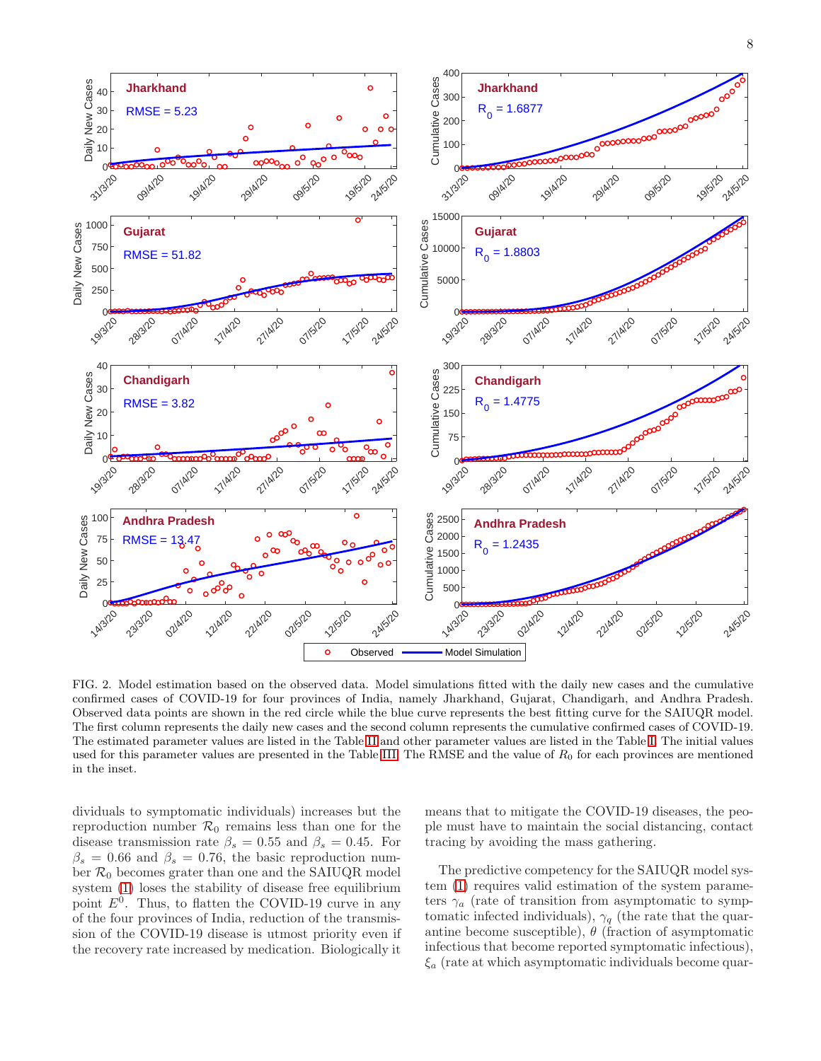

<span id="page-7-0"></span>FIG. 2. Model estimation based on the observed data. Model simulations fitted with the daily new cases and the cumulative confirmed cases of COVID-19 for four provinces of India, namely Jharkhand, Gujarat, Chandigarh, and Andhra Pradesh. Observed data points are shown in the red circle while the blue curve represents the best fitting curve for the SAIUQR model. The first column represents the daily new cases and the second column represents the cumulative confirmed cases of COVID-19. The estimated parameter values are listed in the Table [II](#page-8-1) and other parameter values are listed in the Table [I.](#page-6-0) The initial values used for this parameter values are presented in the Table [III.](#page-8-0) The RMSE and the value of  $R_0$  for each provinces are mentioned in the inset.

dividuals to symptomatic individuals) increases but the reproduction number  $\mathcal{R}_0$  remains less than one for the disease transmission rate  $\beta_s = 0.55$  and  $\beta_s = 0.45$ . For  $\beta_s = 0.66$  and  $\beta_s = 0.76$ , the basic reproduction number  $\mathcal{R}_0$  becomes grater than one and the SAIUQR model system [\(1\)](#page-3-0) loses the stability of disease free equilibrium point  $E^0$ . Thus, to flatten the COVID-19 curve in any of the four provinces of India, reduction of the transmission of the COVID-19 disease is utmost priority even if the recovery rate increased by medication. Biologically it

means that to mitigate the COVID-19 diseases, the people must have to maintain the social distancing, contact tracing by avoiding the mass gathering.

The predictive competency for the SAIUQR model system [\(1\)](#page-3-0) requires valid estimation of the system parameters  $\gamma_a$  (rate of transition from asymptomatic to symptomatic infected individuals),  $\gamma_q$  (the rate that the quarantine become susceptible),  $\theta$  (fraction of asymptomatic infectious that become reported symptomatic infectious),  $\xi_a$  (rate at which asymptomatic individuals become quar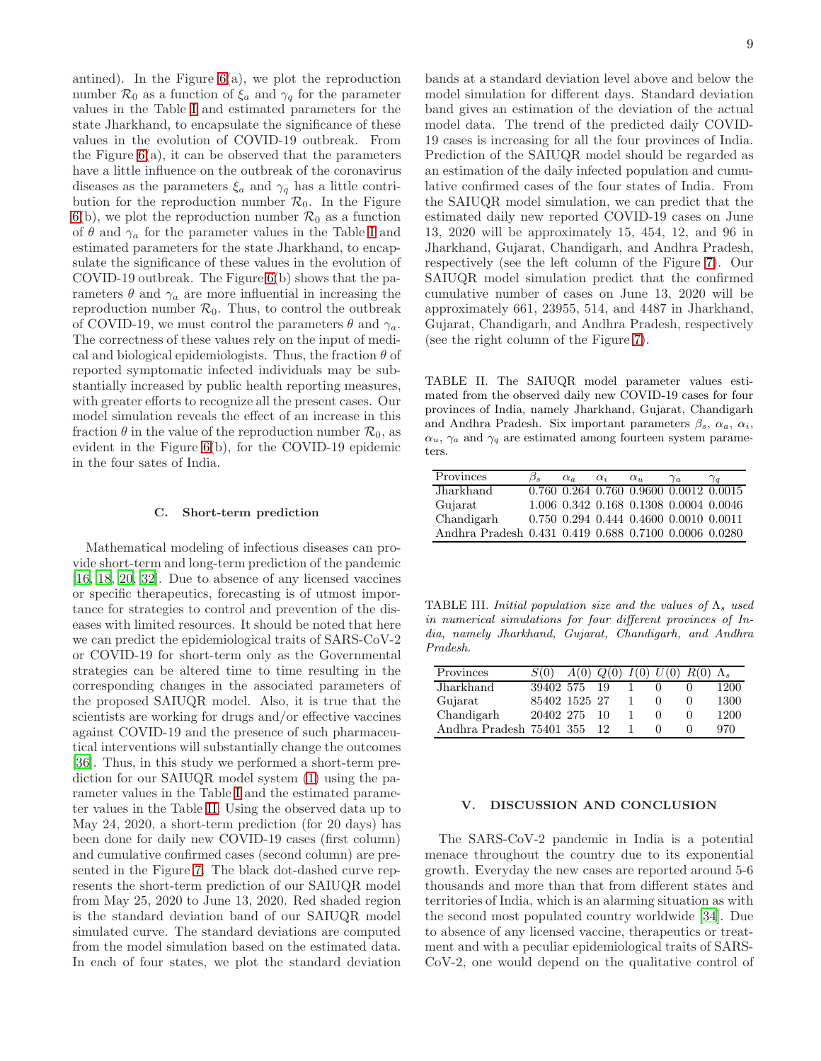antined). In the Figure  $6(a)$  $6(a)$ , we plot the reproduction number  $\mathcal{R}_0$  as a function of  $\xi_a$  and  $\gamma_q$  for the parameter values in the Table [I](#page-6-0) and estimated parameters for the state Jharkhand, to encapsulate the significance of these values in the evolution of COVID-19 outbreak. From the Figure  $6(a)$  $6(a)$ , it can be observed that the parameters have a little influence on the outbreak of the coronavirus diseases as the parameters  $\xi_a$  and  $\gamma_q$  has a little contribution for the reproduction number  $\mathcal{R}_0$ . In the Figure [6\(](#page-11-1)b), we plot the reproduction number  $\mathcal{R}_0$  as a function of  $\theta$  and  $\gamma_a$  for the parameter values in the Table [I](#page-6-0) and estimated parameters for the state Jharkhand, to encapsulate the significance of these values in the evolution of COVID-19 outbreak. The Figure [6\(](#page-11-1)b) shows that the parameters  $\theta$  and  $\gamma_a$  are more influential in increasing the reproduction number  $\mathcal{R}_0$ . Thus, to control the outbreak of COVID-19, we must control the parameters  $\theta$  and  $\gamma_a$ . The correctness of these values rely on the input of medical and biological epidemiologists. Thus, the fraction  $\theta$  of reported symptomatic infected individuals may be substantially increased by public health reporting measures, with greater efforts to recognize all the present cases. Our model simulation reveals the effect of an increase in this fraction  $\theta$  in the value of the reproduction number  $\mathcal{R}_0$ , as evident in the Figure [6\(](#page-11-1)b), for the COVID-19 epidemic in the four sates of India.

### C. Short-term prediction

Mathematical modeling of infectious diseases can provide short-term and long-term prediction of the pandemic [\[16,](#page-16-17) [18,](#page-16-16) [20](#page-16-10), [32\]](#page-17-6). Due to absence of any licensed vaccines or specific therapeutics, forecasting is of utmost importance for strategies to control and prevention of the diseases with limited resources. It should be noted that here we can predict the epidemiological traits of SARS-CoV-2 or COVID-19 for short-term only as the Governmental strategies can be altered time to time resulting in the corresponding changes in the associated parameters of the proposed SAIUQR model. Also, it is true that the scientists are working for drugs and/or effective vaccines against COVID-19 and the presence of such pharmaceutical interventions will substantially change the outcomes [\[36\]](#page-17-10). Thus, in this study we performed a short-term prediction for our SAIUQR model system [\(1\)](#page-3-0) using the parameter values in the Table [I](#page-6-0) and the estimated parameter values in the Table [II.](#page-8-1) Using the observed data up to May 24, 2020, a short-term prediction (for 20 days) has been done for daily new COVID-19 cases (first column) and cumulative confirmed cases (second column) are presented in the Figure [7.](#page-12-1) The black dot-dashed curve represents the short-term prediction of our SAIUQR model from May 25, 2020 to June 13, 2020. Red shaded region is the standard deviation band of our SAIUQR model simulated curve. The standard deviations are computed from the model simulation based on the estimated data. In each of four states, we plot the standard deviation

bands at a standard deviation level above and below the model simulation for different days. Standard deviation band gives an estimation of the deviation of the actual model data. The trend of the predicted daily COVID-19 cases is increasing for all the four provinces of India. Prediction of the SAIUQR model should be regarded as an estimation of the daily infected population and cumulative confirmed cases of the four states of India. From the SAIUQR model simulation, we can predict that the estimated daily new reported COVID-19 cases on June 13, 2020 will be approximately 15, 454, 12, and 96 in Jharkhand, Gujarat, Chandigarh, and Andhra Pradesh, respectively (see the left column of the Figure [7\)](#page-12-1). Our SAIUQR model simulation predict that the confirmed cumulative number of cases on June 13, 2020 will be approximately 661, 23955, 514, and 4487 in Jharkhand, Gujarat, Chandigarh, and Andhra Pradesh, respectively (see the right column of the Figure [7\)](#page-12-1).

<span id="page-8-1"></span>TABLE II. The SAIUQR model parameter values estimated from the observed daily new COVID-19 cases for four provinces of India, namely Jharkhand, Gujarat, Chandigarh and Andhra Pradesh. Six important parameters  $\beta_s$ ,  $\alpha_a$ ,  $\alpha_i$ ,  $\alpha_u$ ,  $\gamma_a$  and  $\gamma_q$  are estimated among fourteen system parameters.

| Provinces                                             | $\alpha_a$ | $\alpha_i$ | $\alpha_{u}$ | $\gamma_a$                             | $\gamma_q$ |
|-------------------------------------------------------|------------|------------|--------------|----------------------------------------|------------|
| Jharkhand                                             |            |            |              | 0.760 0.264 0.760 0.9600 0.0012 0.0015 |            |
| Gujarat                                               |            |            |              | 1.006 0.342 0.168 0.1308 0.0004 0.0046 |            |
| Chandigarh                                            |            |            |              | 0.750 0.294 0.444 0.4600 0.0010 0.0011 |            |
| Andhra Pradesh 0.431 0.419 0.688 0.7100 0.0006 0.0280 |            |            |              |                                        |            |

<span id="page-8-0"></span>TABLE III. Initial population size and the values of  $\Lambda_s$  used in numerical simulations for four different provinces of India, namely Jharkhand, Gujarat, Chandigarh, and Andhra Pradesh.

| Provinces                |               | A(0) |     | $Q(0)$ $\overline{I(0) U(0) R(0)} \Lambda_s$ |      |
|--------------------------|---------------|------|-----|----------------------------------------------|------|
| Jharkhand                | 39402 575     |      | -19 |                                              | 1200 |
| Gujarat                  | 85402 1525 27 |      |     |                                              | 1300 |
| Chandigarh               | 20402 275     |      | 10  |                                              | 1200 |
| Andhra Pradesh 75401 355 |               |      | 12  |                                              | 970  |

### V. DISCUSSION AND CONCLUSION

The SARS-CoV-2 pandemic in India is a potential menace throughout the country due to its exponential growth. Everyday the new cases are reported around 5-6 thousands and more than that from different states and territories of India, which is an alarming situation as with the second most populated country worldwide [\[34](#page-17-8)]. Due to absence of any licensed vaccine, therapeutics or treatment and with a peculiar epidemiological traits of SARS-CoV-2, one would depend on the qualitative control of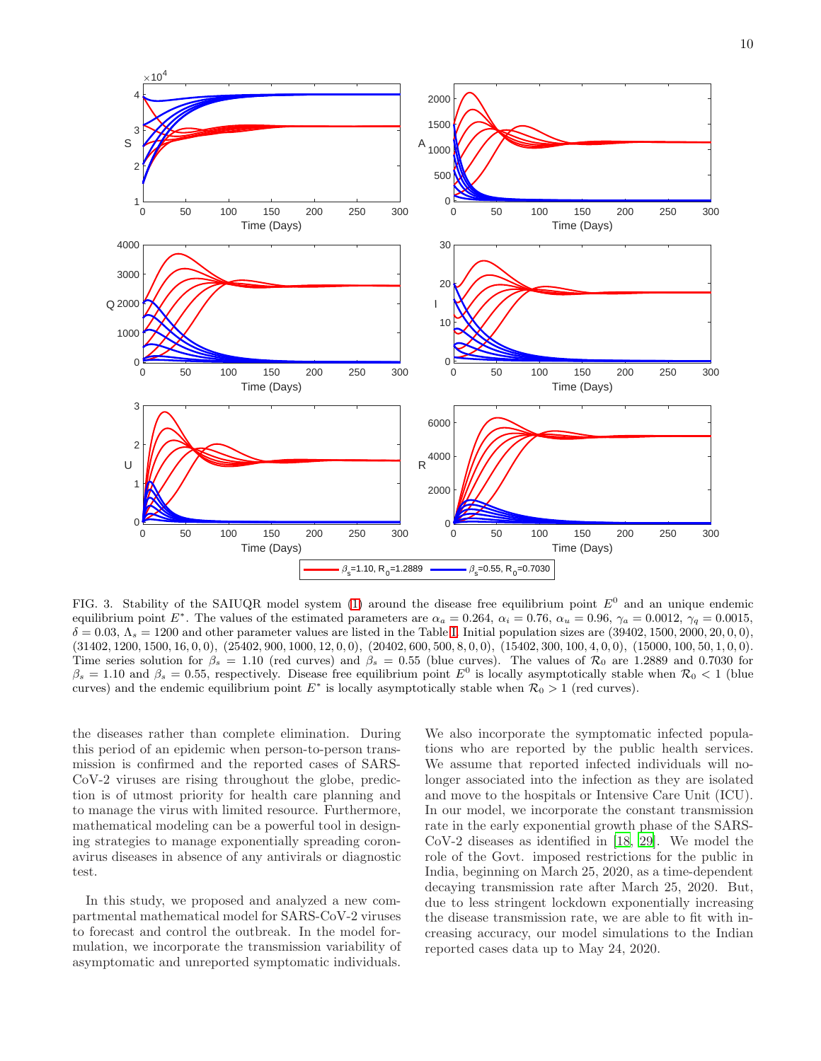

<span id="page-9-0"></span>FIG. 3. Stability of the SAIUQR model system [\(1\)](#page-3-0) around the disease free equilibrium point  $E^0$  and an unique endemic equilibrium point E<sup>\*</sup>. The values of the estimated parameters are  $\alpha_a = 0.264$ ,  $\alpha_i = 0.76$ ,  $\alpha_u = 0.96$ ,  $\gamma_a = 0.0012$ ,  $\gamma_q = 0.0015$ ,  $\delta = 0.03$ ,  $\Lambda_s = 1200$  and other parameter values are listed in the Table [I.](#page-6-0) Initial population sizes are  $(39402, 1500, 2000, 20, 0, 0)$ , (31402, 1200, 1500, 16, 0, 0), (25402, 900, 1000, 12, 0, 0), (20402, 600, 500, 8, 0, 0), (15402, 300, 100, 4, 0, 0), (15000, 100, 50, 1, 0, 0). Time series solution for  $\beta_s = 1.10$  (red curves) and  $\beta_s = 0.55$  (blue curves). The values of  $\mathcal{R}_0$  are 1.2889 and 0.7030 for  $\beta_s = 1.10$  and  $\beta_s = 0.55$ , respectively. Disease free equilibrium point  $E^0$  is locally asymptotically stable when  $\mathcal{R}_0 < 1$  (blue curves) and the endemic equilibrium point  $E^*$  is locally asymptotically stable when  $\mathcal{R}_0 > 1$  (red curves).

the diseases rather than complete elimination. During this period of an epidemic when person-to-person transmission is confirmed and the reported cases of SARS-CoV-2 viruses are rising throughout the globe, prediction is of utmost priority for health care planning and to manage the virus with limited resource. Furthermore, mathematical modeling can be a powerful tool in designing strategies to manage exponentially spreading coronavirus diseases in absence of any antivirals or diagnostic test.

In this study, we proposed and analyzed a new compartmental mathematical model for SARS-CoV-2 viruses to forecast and control the outbreak. In the model formulation, we incorporate the transmission variability of asymptomatic and unreported symptomatic individuals.

We also incorporate the symptomatic infected populations who are reported by the public health services. We assume that reported infected individuals will nolonger associated into the infection as they are isolated and move to the hospitals or Intensive Care Unit (ICU). In our model, we incorporate the constant transmission rate in the early exponential growth phase of the SARS-CoV-2 diseases as identified in [\[18](#page-16-16), [29](#page-17-3)]. We model the role of the Govt. imposed restrictions for the public in India, beginning on March 25, 2020, as a time-dependent decaying transmission rate after March 25, 2020. But, due to less stringent lockdown exponentially increasing the disease transmission rate, we are able to fit with increasing accuracy, our model simulations to the Indian reported cases data up to May 24, 2020.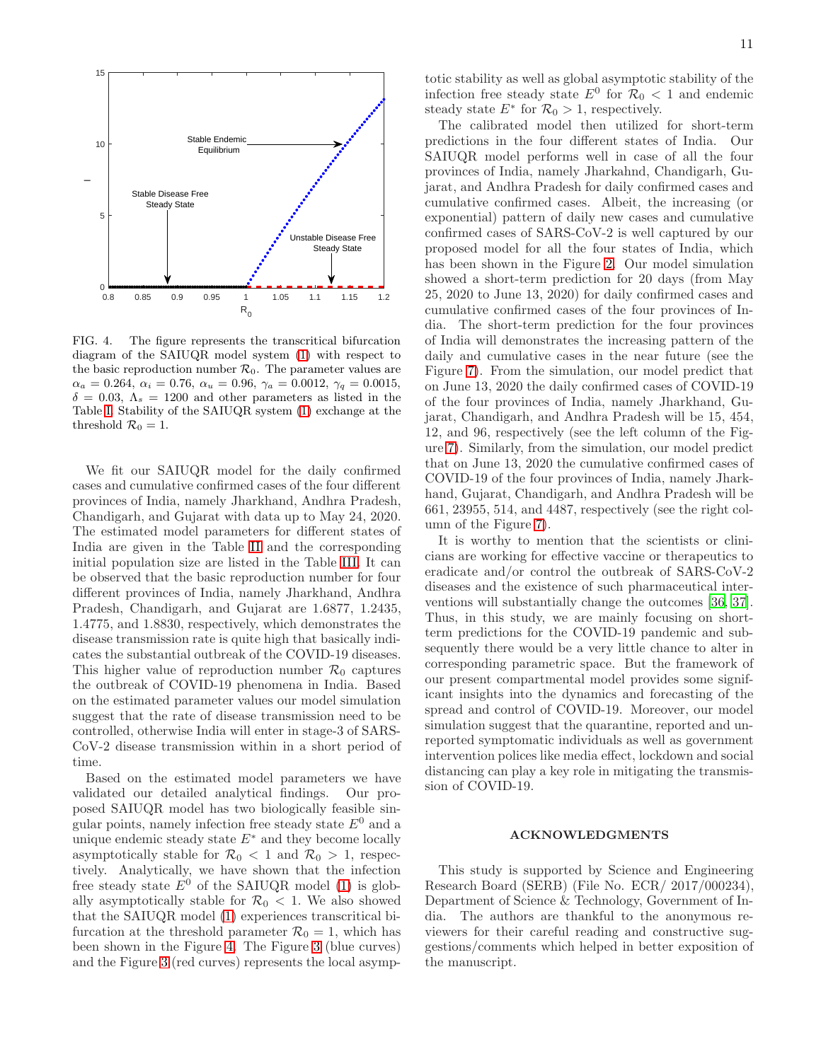

<span id="page-10-0"></span>FIG. 4. The figure represents the transcritical bifurcation diagram of the SAIUQR model system [\(1\)](#page-3-0) with respect to the basic reproduction number  $\mathcal{R}_0$ . The parameter values are  $\alpha_a = 0.264, \ \alpha_i = 0.76, \ \alpha_u = 0.96, \ \gamma_a = 0.0012, \ \gamma_q = 0.0015,$  $\delta = 0.03, \Lambda_s = 1200$  and other parameters as listed in the Table [I.](#page-6-0) Stability of the SAIUQR system [\(1\)](#page-3-0) exchange at the threshold  $\mathcal{R}_0 = 1$ .

We fit our SAIUQR model for the daily confirmed cases and cumulative confirmed cases of the four different provinces of India, namely Jharkhand, Andhra Pradesh, Chandigarh, and Gujarat with data up to May 24, 2020. The estimated model parameters for different states of India are given in the Table [II](#page-8-1) and the corresponding initial population size are listed in the Table [III.](#page-8-0) It can be observed that the basic reproduction number for four different provinces of India, namely Jharkhand, Andhra Pradesh, Chandigarh, and Gujarat are 1.6877, 1.2435, 1.4775, and 1.8830, respectively, which demonstrates the disease transmission rate is quite high that basically indicates the substantial outbreak of the COVID-19 diseases. This higher value of reproduction number  $\mathcal{R}_0$  captures the outbreak of COVID-19 phenomena in India. Based on the estimated parameter values our model simulation suggest that the rate of disease transmission need to be controlled, otherwise India will enter in stage-3 of SARS-CoV-2 disease transmission within in a short period of time.

Based on the estimated model parameters we have validated our detailed analytical findings. Our proposed SAIUQR model has two biologically feasible singular points, namely infection free steady state  $E^0$  and a unique endemic steady state  $E^*$  and they become locally asymptotically stable for  $\mathcal{R}_0 < 1$  and  $\mathcal{R}_0 > 1$ , respectively. Analytically, we have shown that the infection free steady state  $E^0$  of the SAIUQR model [\(1\)](#page-3-0) is globally asymptotically stable for  $\mathcal{R}_0$  < 1. We also showed that the SAIUQR model [\(1\)](#page-3-0) experiences transcritical bifurcation at the threshold parameter  $\mathcal{R}_0 = 1$ , which has been shown in the Figure [4.](#page-10-0) The Figure [3](#page-9-0) (blue curves) and the Figure [3](#page-9-0) (red curves) represents the local asymptotic stability as well as global asymptotic stability of the infection free steady state  $E^0$  for  $\mathcal{R}_0 < 1$  and endemic steady state  $E^*$  for  $\mathcal{R}_0 > 1$ , respectively.

The calibrated model then utilized for short-term predictions in the four different states of India. Our SAIUQR model performs well in case of all the four provinces of India, namely Jharkahnd, Chandigarh, Gujarat, and Andhra Pradesh for daily confirmed cases and cumulative confirmed cases. Albeit, the increasing (or exponential) pattern of daily new cases and cumulative confirmed cases of SARS-CoV-2 is well captured by our proposed model for all the four states of India, which has been shown in the Figure [2.](#page-7-0) Our model simulation showed a short-term prediction for 20 days (from May 25, 2020 to June 13, 2020) for daily confirmed cases and cumulative confirmed cases of the four provinces of India. The short-term prediction for the four provinces of India will demonstrates the increasing pattern of the daily and cumulative cases in the near future (see the Figure [7\)](#page-12-1). From the simulation, our model predict that on June 13, 2020 the daily confirmed cases of COVID-19 of the four provinces of India, namely Jharkhand, Gujarat, Chandigarh, and Andhra Pradesh will be 15, 454, 12, and 96, respectively (see the left column of the Figure [7\)](#page-12-1). Similarly, from the simulation, our model predict that on June 13, 2020 the cumulative confirmed cases of COVID-19 of the four provinces of India, namely Jharkhand, Gujarat, Chandigarh, and Andhra Pradesh will be 661, 23955, 514, and 4487, respectively (see the right column of the Figure [7\)](#page-12-1).

It is worthy to mention that the scientists or clinicians are working for effective vaccine or therapeutics to eradicate and/or control the outbreak of SARS-CoV-2 diseases and the existence of such pharmaceutical interventions will substantially change the outcomes [\[36,](#page-17-10) [37\]](#page-17-11). Thus, in this study, we are mainly focusing on shortterm predictions for the COVID-19 pandemic and subsequently there would be a very little chance to alter in corresponding parametric space. But the framework of our present compartmental model provides some significant insights into the dynamics and forecasting of the spread and control of COVID-19. Moreover, our model simulation suggest that the quarantine, reported and unreported symptomatic individuals as well as government intervention polices like media effect, lockdown and social distancing can play a key role in mitigating the transmission of COVID-19.

## ACKNOWLEDGMENTS

This study is supported by Science and Engineering Research Board (SERB) (File No. ECR/ 2017/000234), Department of Science & Technology, Government of India. The authors are thankful to the anonymous reviewers for their careful reading and constructive suggestions/comments which helped in better exposition of the manuscript.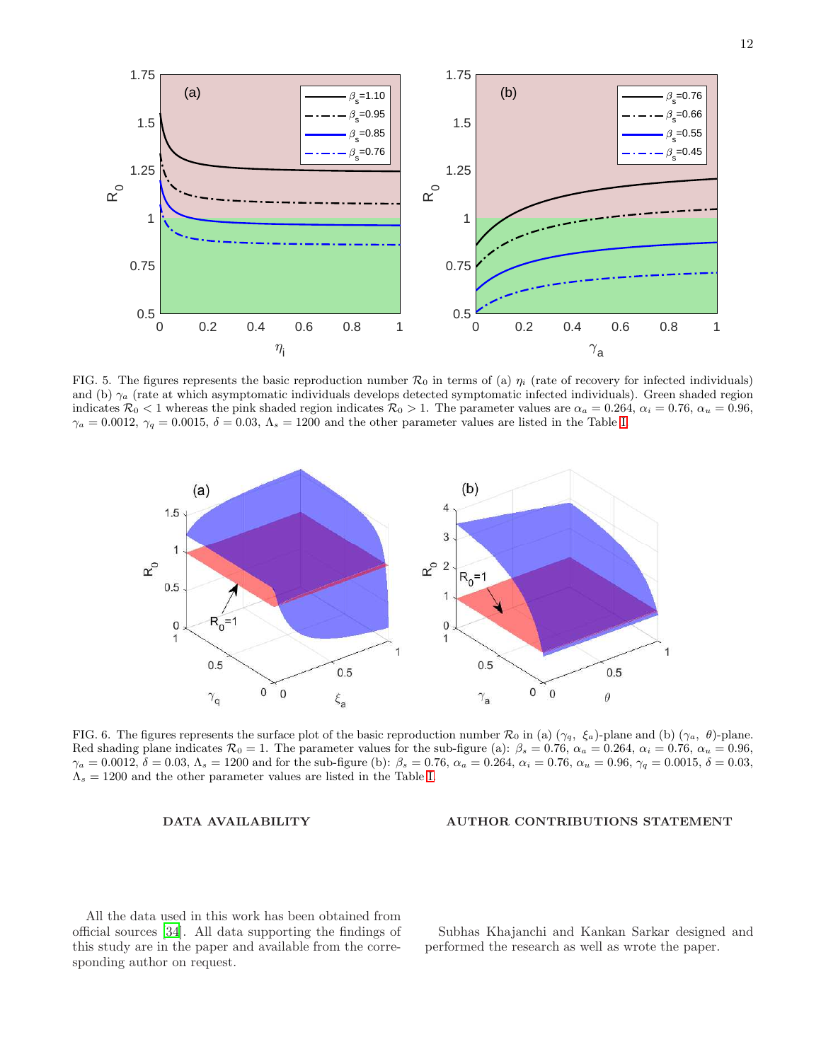

<span id="page-11-0"></span>FIG. 5. The figures represents the basic reproduction number  $\mathcal{R}_0$  in terms of (a)  $\eta_i$  (rate of recovery for infected individuals) and (b)  $\gamma_a$  (rate at which asymptomatic individuals develops detected symptomatic infected individuals). Green shaded region indicates  $\mathcal{R}_0 < 1$  whereas the pink shaded region indicates  $\mathcal{R}_0 > 1$ . The parameter values are  $\alpha_a = 0.264$ ,  $\alpha_i = 0.76$ ,  $\alpha_u = 0.96$ ,  $\gamma_a = 0.0012$ ,  $\gamma_q = 0.0015$ ,  $\delta = 0.03$ ,  $\Lambda_s = 1200$  and the other parameter values are listed in the Table [I.](#page-6-0)



<span id="page-11-1"></span>FIG. 6. The figures represents the surface plot of the basic reproduction number  $\mathcal{R}_0$  in (a)  $(\gamma_q, \xi_a)$ -plane and (b)  $(\gamma_a, \theta)$ -plane. Red shading plane indicates  $\mathcal{R}_0 = 1$ . The parameter values for the sub-figure (a):  $\beta_s = 0.76$ ,  $\alpha_a = 0.264$ ,  $\alpha_i = 0.76$ ,  $\alpha_u = 0.96$ ,  $\gamma_a = 0.0012, \delta = 0.03, \Lambda_s = 1200$  and for the sub-figure (b):  $\beta_s = 0.76, \alpha_a = 0.264, \alpha_i = 0.76, \alpha_u = 0.96, \gamma_q = 0.0015, \delta = 0.03,$  $\Lambda_s = 1200$  and the other parameter values are listed in the Table [I.](#page-6-0)

## DATA AVAILABILITY

## AUTHOR CONTRIBUTIONS STATEMENT

All the data used in this work has been obtained from official sources [\[34\]](#page-17-8). All data supporting the findings of this study are in the paper and available from the corresponding author on request.

Subhas Khajanchi and Kankan Sarkar designed and performed the research as well as wrote the paper.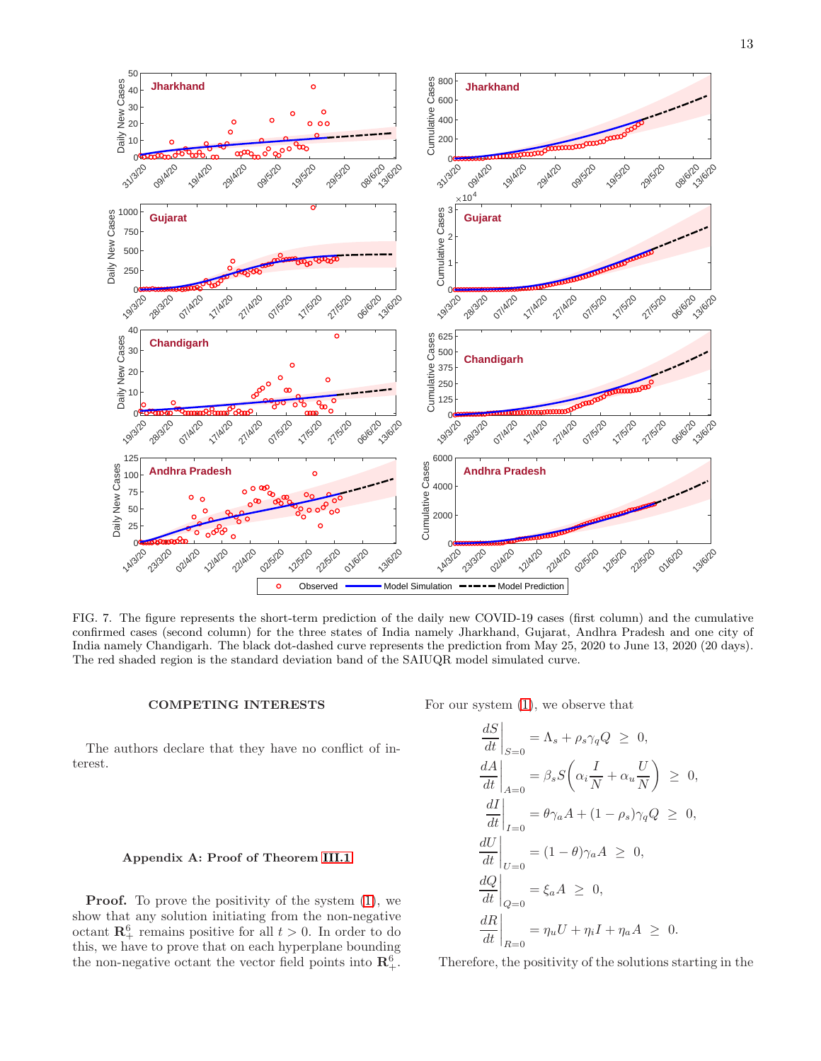

<span id="page-12-1"></span>FIG. 7. The figure represents the short-term prediction of the daily new COVID-19 cases (first column) and the cumulative confirmed cases (second column) for the three states of India namely Jharkhand, Gujarat, Andhra Pradesh and one city of India namely Chandigarh. The black dot-dashed curve represents the prediction from May 25, 2020 to June 13, 2020 (20 days). The red shaded region is the standard deviation band of the SAIUQR model simulated curve.

## COMPETING INTERESTS

The authors declare that they have no conflict of interest.

### <span id="page-12-0"></span>Appendix A: Proof of Theorem [III.1](#page-3-2)

**Proof.** To prove the positivity of the system  $(1)$ , we show that any solution initiating from the non-negative octant  $\mathbb{R}^6_+$  remains positive for all  $t > 0$ . In order to do this, we have to prove that on each hyperplane bounding the non-negative octant the vector field points into  $\mathbb{R}^6_+$ .

For our system [\(1\)](#page-3-0), we observe that

$$
\begin{aligned}\n\left. \frac{dS}{dt} \right|_{S=0} &= \Lambda_s + \rho_s \gamma_q Q \ge 0, \\
\left. \frac{dA}{dt} \right|_{A=0} &= \beta_s S \left( \alpha_i \frac{I}{N} + \alpha_u \frac{U}{N} \right) \ge 0, \\
\left. \frac{dI}{dt} \right|_{I=0} &= \theta \gamma_a A + (1 - \rho_s) \gamma_q Q \ge 0, \\
\left. \frac{dU}{dt} \right|_{U=0} &= (1 - \theta) \gamma_a A \ge 0, \\
\left. \frac{dQ}{dt} \right|_{Q=0} &= \xi_a A \ge 0, \\
\left. \frac{dR}{dt} \right|_{R=0} &= \eta_u U + \eta_i I + \eta_a A \ge 0.\n\end{aligned}
$$

Therefore, the positivity of the solutions starting in the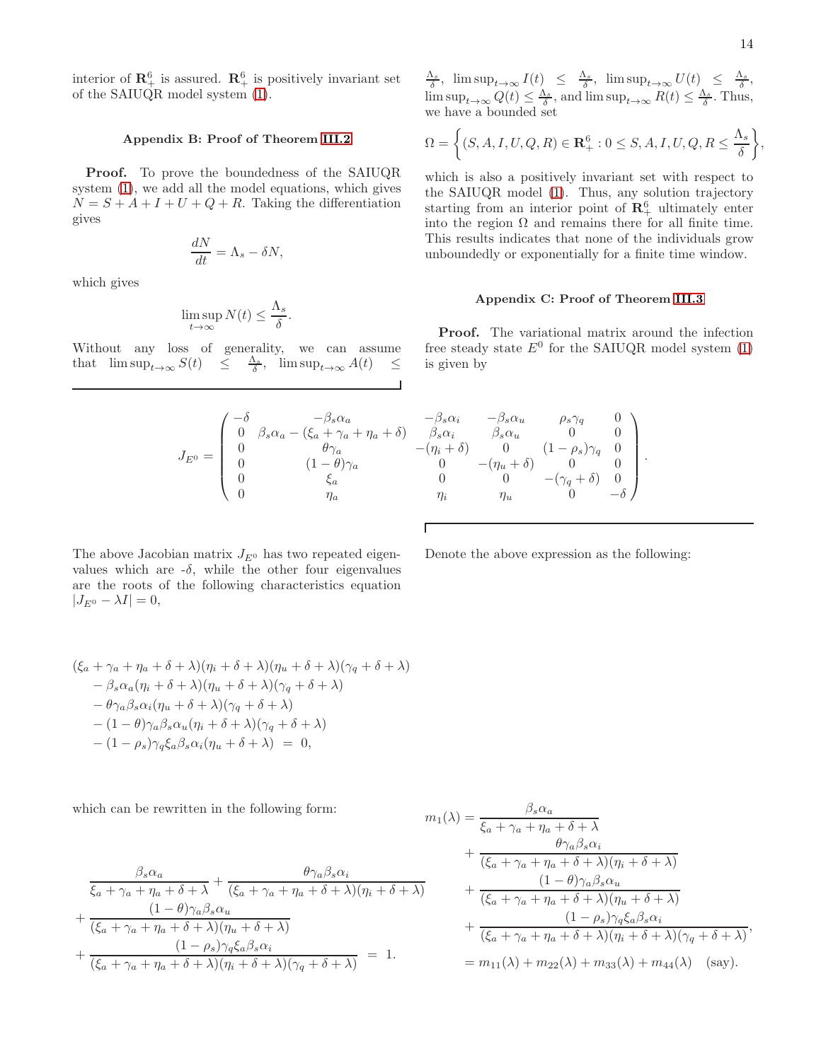interior of  $\mathbb{R}^6_+$  is assured.  $\mathbb{R}^6_+$  is positively invariant set of the SAIUQR model system [\(1\)](#page-3-0).

## <span id="page-13-0"></span>Appendix B: Proof of Theorem [III.2](#page-3-3)

Proof. To prove the boundedness of the SAIUQR system [\(1\)](#page-3-0), we add all the model equations, which gives  $N = S + A + I + U + Q + R$ . Taking the differentiation gives

$$
\frac{dN}{dt} = \Lambda_s - \delta N,
$$

which gives

$$
\limsup_{t \to \infty} N(t) \le \frac{\Lambda_s}{\delta}.
$$

Without any loss of generality, we can assume that  $\limsup_{t\to\infty} S(t) \leq \frac{\Lambda_s}{\delta}, \limsup_{t\to\infty} A(t) \leq$ 

 $J_{E^0} =$ 

$$
\frac{\Lambda_s}{\delta}, \limsup_{t \to \infty} I(t) \leq \frac{\Lambda_s}{\delta}, \limsup_{t \to \infty} U(t) \leq \frac{\Lambda_s}{\delta},
$$
  
 
$$
\limsup_{t \to \infty} Q(t) \leq \frac{\Lambda_s}{\delta}, \text{ and } \limsup_{t \to \infty} R(t) \leq \frac{\Lambda_s}{\delta}.
$$
 Thus, we have a bounded set

$$
\Omega = \left\{ (S, A, I, U, Q, R) \in \mathbf{R}_{+}^{6} : 0 \leq S, A, I, U, Q, R \leq \frac{\Lambda_{s}}{\delta} \right\},\
$$

which is also a positively invariant set with respect to the SAIUQR model [\(1\)](#page-3-0). Thus, any solution trajectory starting from an interior point of  $\mathbb{R}^6_+$  ultimately enter into the region  $\Omega$  and remains there for all finite time. This results indicates that none of the individuals grow unboundedly or exponentially for a finite time window.

## <span id="page-13-1"></span>Appendix C: Proof of Theorem [III.3](#page-4-1)

Proof. The variational matrix around the infection free steady state  $E^0$  for the SAIUQR model system [\(1\)](#page-3-0) is given by

Denote the above expression as the following:

 $\left( \right)$ 

 $\overline{\phantom{a}}$ .

$$
\left(\begin{matrix} -\delta & -\beta_s \alpha_a & -\beta_s \alpha_i & -\beta_s \alpha_u & \rho_s \gamma_q & 0 \\ 0 & \beta_s \alpha_a - (\xi_a + \gamma_a + \eta_a + \delta) & \beta_s \alpha_i & \beta_s \alpha_u & 0 & 0 \\ 0 & \theta \gamma_a & -(\eta_i + \delta) & 0 & (1 - \rho_s) \gamma_q & 0 \\ 0 & (1 - \theta) \gamma_a & 0 & -(\eta_u + \delta) & 0 & 0 \\ 0 & \xi_a & 0 & 0 & -(\gamma_q + \delta) & 0 \\ 0 & \eta_a & \eta_i & \eta_u & 0 & -\delta \end{matrix}\right)
$$

Г

The above Jacobian matrix  $J_{E^0}$  has two repeated eigenvalues which are  $-\delta$ , while the other four eigenvalues are the roots of the following characteristics equation  $|J_{E^0} - \lambda I| = 0,$ 

$$
(\xi_a + \gamma_a + \eta_a + \delta + \lambda)(\eta_i + \delta + \lambda)(\eta_u + \delta + \lambda)(\gamma_q + \delta + \lambda)
$$
  
\n
$$
- \beta_s \alpha_a (\eta_i + \delta + \lambda)(\eta_u + \delta + \lambda)(\gamma_q + \delta + \lambda)
$$
  
\n
$$
- \theta \gamma_a \beta_s \alpha_i (\eta_u + \delta + \lambda)(\gamma_q + \delta + \lambda)
$$
  
\n
$$
- (1 - \theta) \gamma_a \beta_s \alpha_u (\eta_i + \delta + \lambda)(\gamma_q + \delta + \lambda)
$$
  
\n
$$
- (1 - \rho_s) \gamma_q \xi_a \beta_s \alpha_i (\eta_u + \delta + \lambda) = 0,
$$

which can be rewritten in the following form:

$$
\frac{\beta_s \alpha_a}{\xi_a + \gamma_a + \eta_a + \delta + \lambda} + \frac{\theta \gamma_a \beta_s \alpha_i}{(\xi_a + \gamma_a + \eta_a + \delta + \lambda)(\eta_i + \delta + \lambda)} \n+ \frac{(1 - \theta) \gamma_a \beta_s \alpha_u}{(\xi_a + \gamma_a + \eta_a + \delta + \lambda)(\eta_u + \delta + \lambda)} \n+ \frac{(1 - \rho_s) \gamma_q \xi_a \beta_s \alpha_i}{(\xi_a + \gamma_a + \eta_a + \delta + \lambda)(\eta_i + \delta + \lambda)(\gamma_q + \delta + \lambda)} = 1.
$$

$$
m_1(\lambda) = \frac{\beta_s \alpha_a}{\xi_a + \gamma_a + \eta_a + \delta + \lambda} + \frac{\theta \gamma_a \beta_s \alpha_i}{(\xi_a + \gamma_a + \eta_a + \delta + \lambda)(\eta_i + \delta + \lambda)} + \frac{(1 - \theta)\gamma_a \beta_s \alpha_u}{(\xi_a + \gamma_a + \eta_a + \delta + \lambda)(\eta_u + \delta + \lambda)} + \frac{(1 - \rho_s)\gamma_q \xi_a \beta_s \alpha_i}{(\xi_a + \gamma_a + \eta_a + \delta + \lambda)(\eta_i + \delta + \lambda)(\gamma_q + \delta + \lambda)}, = m_{11}(\lambda) + m_{22}(\lambda) + m_{33}(\lambda) + m_{44}(\lambda)
$$
 (say).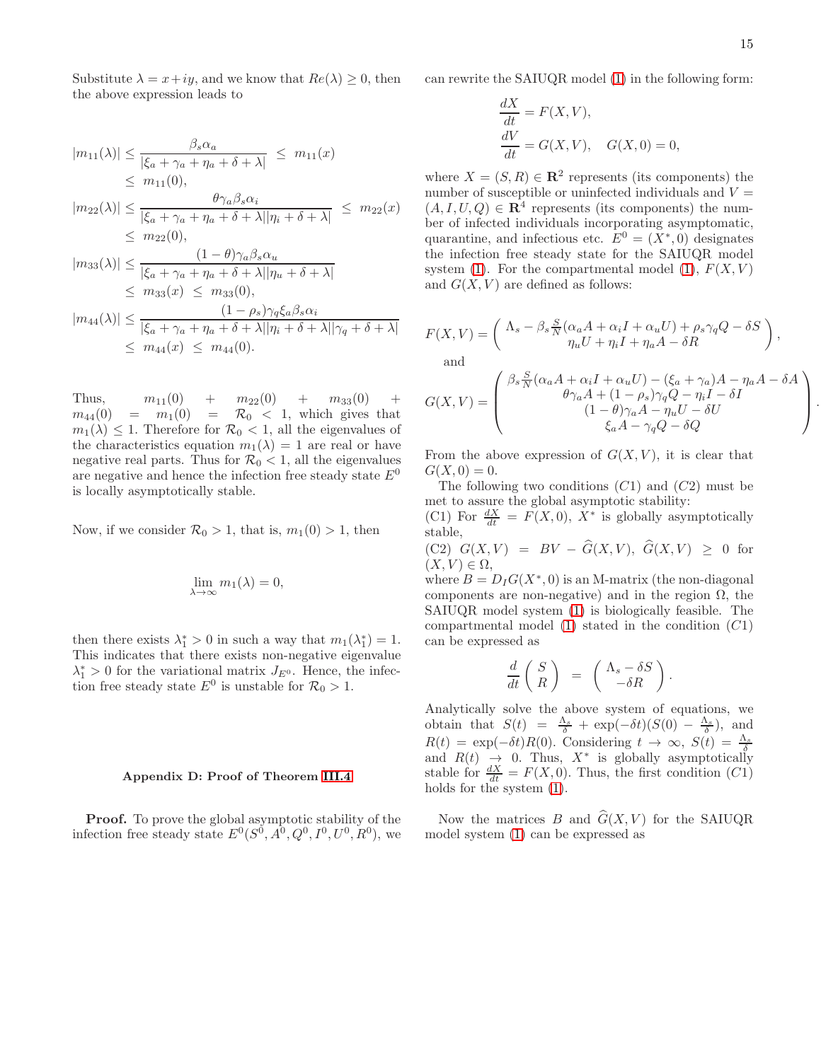Substitute  $\lambda = x + iy$ , and we know that  $Re(\lambda) \geq 0$ , then the above expression leads to

$$
|m_{11}(\lambda)| \leq \frac{\beta_s \alpha_a}{|\xi_a + \gamma_a + \eta_a + \delta + \lambda|} \leq m_{11}(x)
$$
  
\n
$$
\leq m_{11}(0),
$$
  
\n
$$
|m_{22}(\lambda)| \leq \frac{\theta \gamma_a \beta_s \alpha_i}{|\xi_a + \gamma_a + \eta_a + \delta + \lambda| |\eta_i + \delta + \lambda|} \leq m_{22}(x)
$$
  
\n
$$
\leq m_{22}(0),
$$
  
\n
$$
|m_{33}(\lambda)| \leq \frac{(1 - \theta) \gamma_a \beta_s \alpha_u}{|\xi_a + \gamma_a + \eta_a + \delta + \lambda| |\eta_u + \delta + \lambda|}
$$

$$
\leq m_{33}(x) \leq m_{33}(0),
$$
  
\n
$$
|m_{44}(\lambda)| \leq \frac{(1 - \rho_s)\gamma_q \xi_a \beta_s \alpha_i}{|\xi_a + \gamma_a + \eta_a + \delta + \lambda||\eta_i + \delta + \lambda||\gamma_q + \delta + \lambda|}
$$
  
\n
$$
\leq m_{44}(x) \leq m_{44}(0).
$$

Thus,  $m_{11}(0) + m_{22}(0) + m_{33}(0)$  $m_{44}(0) = m_1(0) = \mathcal{R}_0 < 1$ , which gives that  $m_1(\lambda) \leq 1$ . Therefore for  $\mathcal{R}_0 < 1$ , all the eigenvalues of the characteristics equation  $m_1(\lambda) = 1$  are real or have negative real parts. Thus for  $\mathcal{R}_0 < 1$ , all the eigenvalues are negative and hence the infection free steady state  $E^0$ is locally asymptotically stable.

Now, if we consider  $\mathcal{R}_0 > 1$ , that is,  $m_1(0) > 1$ , then

$$
\lim_{\lambda \to \infty} m_1(\lambda) = 0,
$$

then there exists  $\lambda_1^* > 0$  in such a way that  $m_1(\lambda_1^*) = 1$ . This indicates that there exists non-negative eigenvalue  $\lambda_1^* > 0$  for the variational matrix  $J_{E^0}$ . Hence, the infection free steady state  $E^0$  is unstable for  $\mathcal{R}_0 > 1$ .

#### <span id="page-14-0"></span>Appendix D: Proof of Theorem [III.4](#page-5-2)

**Proof.** To prove the global asymptotic stability of the infection free steady state  $E^0(S^0, A^0, Q^0, I^0, U^0, R^0)$ , we can rewrite the SAIUQR model [\(1\)](#page-3-0) in the following form:

$$
\frac{dX}{dt} = F(X, V),
$$
  
\n
$$
\frac{dV}{dt} = G(X, V), \quad G(X, 0) = 0,
$$

where  $X = (S, R) \in \mathbb{R}^2$  represents (its components) the number of susceptible or uninfected individuals and  $V =$  $(A, I, U, Q) \in \mathbb{R}^4$  represents (its components) the number of infected individuals incorporating asymptomatic, quarantine, and infectious etc.  $E^0 = (X^*,0)$  designates the infection free steady state for the SAIUQR model system [\(1\)](#page-3-0). For the compartmental model (1),  $F(X, V)$ and  $G(X, V)$  are defined as follows:

$$
F(X,V) = \begin{pmatrix} \Lambda_s - \beta_s \frac{S}{N} (\alpha_a A + \alpha_i I + \alpha_u U) + \rho_s \gamma_q Q - \delta S \\ \eta_u U + \eta_i I + \eta_a A - \delta R \end{pmatrix},
$$
  
and  

$$
G(X,V) = \begin{pmatrix} \beta_s \frac{S}{N} (\alpha_a A + \alpha_i I + \alpha_u U) - (\xi_a + \gamma_a) A - \eta_a A - \delta A \\ \theta \gamma_a A + (1 - \rho_s) \gamma_q Q - \eta_i I - \delta I \\ (1 - \theta) \gamma_a A - \eta_u U - \delta U \end{pmatrix}.
$$

 $\xi_a A - \gamma_q Q - \delta Q$ 

From the above expression of  $G(X, V)$ , it is clear that  $G(X, 0) = 0.$ 

The following two conditions  $(C1)$  and  $(C2)$  must be met to assure the global asymptotic stability:

(C1) For  $\frac{dX}{dt} = F(X,0), X^*$  is globally asymptotically stable,

 $(C2)$   $G(X, V) = BV - \widehat{G}(X, V), \widehat{G}(X, V) \geq 0$  for  $(X, V) \in \Omega$ ,

where  $B = D_I G(X^*, 0)$  is an M-matrix (the non-diagonal components are non-negative) and in the region  $\Omega$ , the SAIUQR model system [\(1\)](#page-3-0) is biologically feasible. The compartmental model  $(1)$  stated in the condition  $(C1)$ can be expressed as

$$
\frac{d}{dt} \left( \begin{array}{c} S \\ R \end{array} \right) \;\; = \;\; \left( \begin{array}{c} \Lambda_s - \delta S \\ - \delta R \end{array} \right).
$$

Analytically solve the above system of equations, we obtain that  $S(t) = \frac{\Lambda_s}{\delta} + \exp(-\delta t)(S(0) - \frac{\Lambda_s}{\delta}),$  and  $R(t) = \exp(-\delta t)R(0)$ . Considering  $t \to \infty$ ,  $S(t) = \frac{\Lambda_s}{\delta}$ <br>and  $R(t) \to 0$ . Thus,  $X^*$  is globally asymptotically stable for  $\frac{dX}{dt} = F(X, 0)$ . Thus, the first condition  $(C1)$ holds for the system [\(1\)](#page-3-0).

Now the matrices B and  $\hat{G}(X, V)$  for the SAIUQR model system [\(1\)](#page-3-0) can be expressed as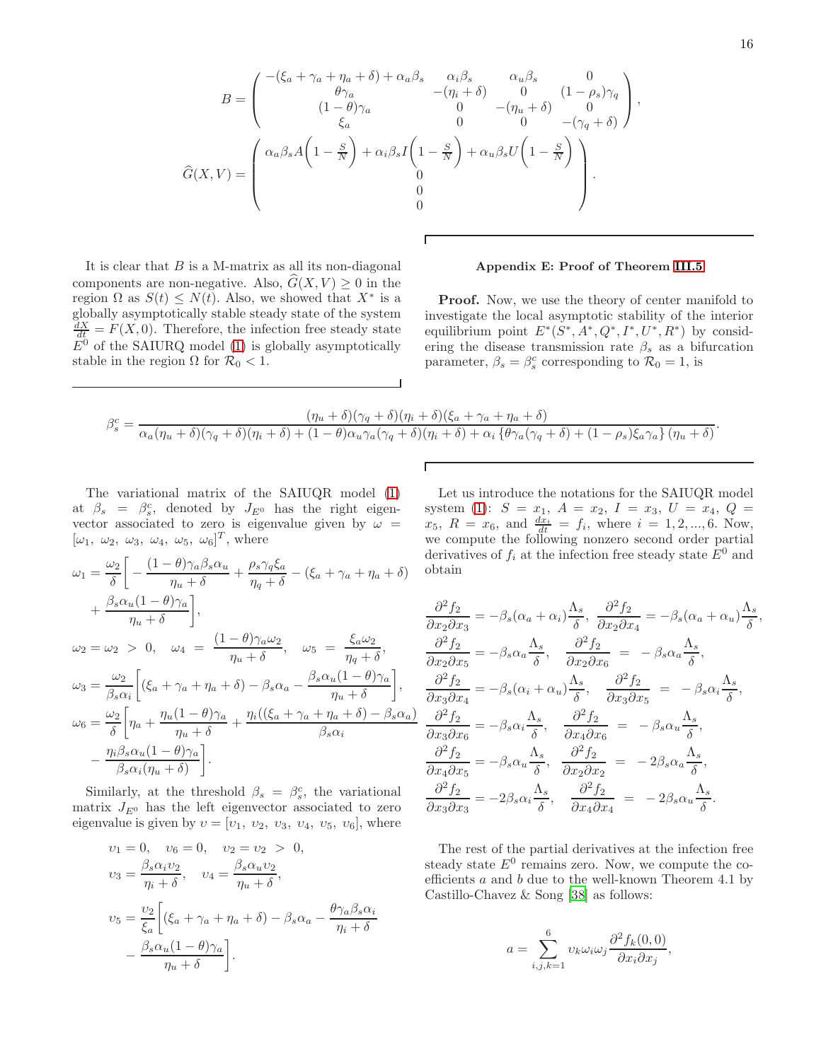$$
B = \begin{pmatrix} -( \xi_a + \gamma_a + \eta_a + \delta) + \alpha_a \beta_s & \alpha_i \beta_s & \alpha_u \beta_s & 0 \\ \theta \gamma_a & -( \eta_i + \delta) & 0 & (1 - \rho_s) \gamma_q \\ (1 - \theta) \gamma_a & 0 & -( \eta_u + \delta) & 0 \\ \xi_a & 0 & 0 & -(\gamma_q + \delta) \end{pmatrix},
$$

$$
\widehat{G}(X, V) = \begin{pmatrix} \alpha_a \beta_s A \left( 1 - \frac{S}{N} \right) + \alpha_i \beta_s I \left( 1 - \frac{S}{N} \right) + \alpha_u \beta_s U \left( 1 - \frac{S}{N} \right) \\ 0 & 0 & 0 \end{pmatrix}.
$$

It is clear that  $B$  is a M-matrix as all its non-diagonal components are non-negative. Also,  $\hat{G}(X, V) \geq 0$  in the region  $\Omega$  as  $S(t) \leq N(t)$ . Also, we showed that  $X^*$  is a globally asymptotically stable steady state of the system  $\frac{dX}{dt} = F(X,0)$ . Therefore, the infection free steady state  $E^0$  of the SAIURQ model [\(1\)](#page-3-0) is globally asymptotically stable in the region  $\Omega$  for  $\mathcal{R}_0 < 1$ .

## <span id="page-15-0"></span>Appendix E: Proof of Theorem [III.5](#page-5-1)

**Proof.** Now, we use the theory of center manifold to investigate the local asymptotic stability of the interior equilibrium point  $E^*(S^*, A^*, Q^*, I^*, U^*, R^*)$  by considering the disease transmission rate  $\beta_s$  as a bifurcation parameter,  $\beta_s = \beta_s^c$  corresponding to  $\mathcal{R}_0 = 1$ , is

$$
\beta_s^c = \frac{(\eta_u + \delta)(\gamma_q + \delta)(\eta_i + \delta)(\xi_a + \gamma_a + \eta_a + \delta)}{\alpha_a(\eta_u + \delta)(\gamma_q + \delta)(\eta_i + \delta) + (1 - \theta)\alpha_u\gamma_a(\gamma_q + \delta)(\eta_i + \delta) + \alpha_i\{\theta\gamma_a(\gamma_q + \delta) + (1 - \rho_s)\xi_a\gamma_a\}(\eta_u + \delta)}.
$$

Г

The variational matrix of the SAIUQR model [\(1\)](#page-3-0) at  $\beta_s = \beta_s^c$ , denoted by  $J_{E^0}$  has the right eigenvector associated to zero is eigenvalue given by  $\omega =$  $[\omega_1, \omega_2, \omega_3, \omega_4, \omega_5, \omega_6]^T$ , where

$$
\omega_1 = \frac{\omega_2}{\delta} \left[ -\frac{(1-\theta)\gamma_a \beta_s \alpha_u}{\eta_u + \delta} + \frac{\rho_s \gamma_q \xi_a}{\eta_q + \delta} - (\xi_a + \gamma_a + \eta_a + \delta) \right. \n+ \frac{\beta_s \alpha_u (1-\theta)\gamma_a}{\eta_u + \delta} \right],
$$
  
\n
$$
\omega_2 = \omega_2 > 0, \quad \omega_4 = \frac{(1-\theta)\gamma_a \omega_2}{\eta_u + \delta}, \quad \omega_5 = \frac{\xi_a \omega_2}{\eta_q + \delta},
$$
  
\n
$$
\omega_3 = \frac{\omega_2}{\beta_s \alpha_i} \left[ (\xi_a + \gamma_a + \eta_a + \delta) - \beta_s \alpha_a - \frac{\beta_s \alpha_u (1-\theta)\gamma_a}{\eta_u + \delta} \right],
$$
  
\n
$$
\omega_6 = \frac{\omega_2}{\delta} \left[ \eta_a + \frac{\eta_u (1-\theta)\gamma_a}{\eta_u + \delta} + \frac{\eta_i ((\xi_a + \gamma_a + \eta_a + \delta) - \beta_s \alpha_a)}{\beta_s \alpha_i} \right].
$$

Similarly, at the threshold  $\beta_s = \beta_s^c$ , the variational matrix  $J_{E^0}$  has the left eigenvector associated to zero eigenvalue is given by  $v = [v_1, v_2, v_3, v_4, v_5, v_6]$ , where

$$
v_1 = 0, \quad v_6 = 0, \quad v_2 = v_2 > 0,
$$
  
\n
$$
v_3 = \frac{\beta_s \alpha_i v_2}{\eta_i + \delta}, \quad v_4 = \frac{\beta_s \alpha_u v_2}{\eta_u + \delta},
$$
  
\n
$$
v_5 = \frac{v_2}{\xi_a} \left[ (\xi_a + \gamma_a + \eta_a + \delta) - \beta_s \alpha_a - \frac{\theta \gamma_a \beta_s \alpha_i}{\eta_i + \delta} - \frac{\beta_s \alpha_u (1 - \theta) \gamma_a}{\eta_u + \delta} \right].
$$

Let us introduce the notations for the SAIUQR model system [\(1\)](#page-3-0):  $S = x_1$ ,  $A = x_2$ ,  $I = x_3$ ,  $U = x_4$ ,  $Q =$  $x_5, R = x_6, \text{ and } \frac{dx_i}{dt} = f_i, \text{ where } i = 1, 2, ..., 6. \text{ Now},$ we compute the following nonzero second order partial derivatives of  $f_i$  at the infection free steady state  $E^0$  and obtain

$$
\frac{\partial^2 f_2}{\partial x_2 \partial x_3} = -\beta_s (\alpha_a + \alpha_i) \frac{\Lambda_s}{\delta}, \frac{\partial^2 f_2}{\partial x_2 \partial x_4} = -\beta_s (\alpha_a + \alpha_u) \frac{\Lambda_s}{\delta},
$$
  

$$
\frac{\partial^2 f_2}{\partial x_2 \partial x_5} = -\beta_s \alpha_a \frac{\Lambda_s}{\delta}, \frac{\partial^2 f_2}{\partial x_2 \partial x_6} = -\beta_s \alpha_a \frac{\Lambda_s}{\delta},
$$
  

$$
\frac{\partial^2 f_2}{\partial x_3 \partial x_4} = -\beta_s (\alpha_i + \alpha_u) \frac{\Lambda_s}{\delta}, \frac{\partial^2 f_2}{\partial x_3 \partial x_5} = -\beta_s \alpha_i \frac{\Lambda_s}{\delta},
$$
  

$$
\frac{\partial^2 f_2}{\partial x_3 \partial x_6} = -\beta_s \alpha_i \frac{\Lambda_s}{\delta}, \frac{\partial^2 f_2}{\partial x_4 \partial x_6} = -\beta_s \alpha_u \frac{\Lambda_s}{\delta},
$$
  

$$
\frac{\partial^2 f_2}{\partial x_4 \partial x_5} = -\beta_s \alpha_u \frac{\Lambda_s}{\delta}, \frac{\partial^2 f_2}{\partial x_2 \partial x_2} = -2\beta_s \alpha_a \frac{\Lambda_s}{\delta},
$$
  

$$
\frac{\partial^2 f_2}{\partial x_3 \partial x_3} = -2\beta_s \alpha_i \frac{\Lambda_s}{\delta}, \frac{\partial^2 f_2}{\partial x_4 \partial x_4} = -2\beta_s \alpha_u \frac{\Lambda_s}{\delta}.
$$

The rest of the partial derivatives at the infection free steady state  $E^0$  remains zero. Now, we compute the coefficients a and b due to the well-known Theorem 4.1 by Castillo-Chavez & Song [\[38](#page-17-12)] as follows:

$$
a = \sum_{i,j,k=1}^{6} v_k \omega_i \omega_j \frac{\partial^2 f_k(0,0)}{\partial x_i \partial x_j},
$$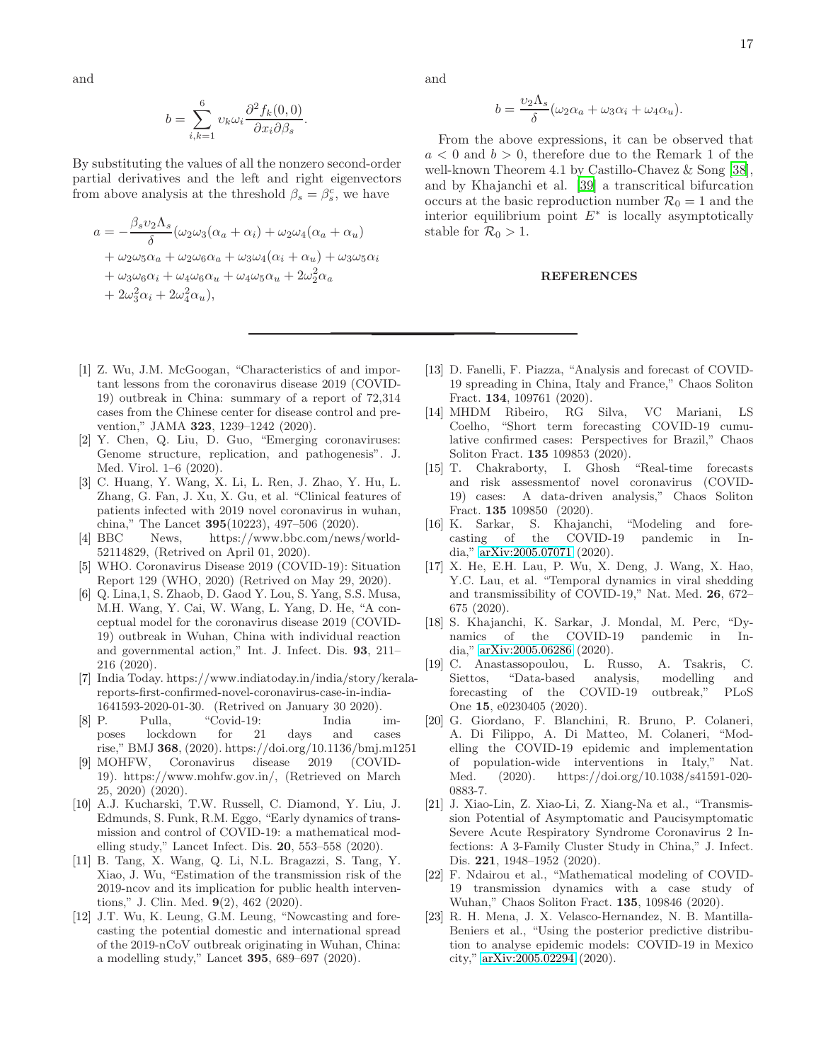and

$$
b = \sum_{i,k=1}^{6} \upsilon_k \omega_i \frac{\partial^2 f_k(0,0)}{\partial x_i \partial \beta_s}
$$

.

By substituting the values of all the nonzero second-order partial derivatives and the left and right eigenvectors from above analysis at the threshold  $\beta_s = \beta_s^c$ , we have

$$
a = -\frac{\beta_s v_2 \Lambda_s}{\delta} (\omega_2 \omega_3 (\alpha_a + \alpha_i) + \omega_2 \omega_4 (\alpha_a + \alpha_u)
$$
  
+  $\omega_2 \omega_5 \alpha_a + \omega_2 \omega_6 \alpha_a + \omega_3 \omega_4 (\alpha_i + \alpha_u) + \omega_3 \omega_5 \alpha_i$   
+  $\omega_3 \omega_6 \alpha_i + \omega_4 \omega_6 \alpha_u + \omega_4 \omega_5 \alpha_u + 2\omega_2^2 \alpha_a$   
+  $2\omega_3^2 \alpha_i + 2\omega_4^2 \alpha_u$ ),

- <span id="page-16-0"></span>[1] Z. Wu, J.M. McGoogan, "Characteristics of and important lessons from the coronavirus disease 2019 (COVID-19) outbreak in China: summary of a report of 72,314 cases from the Chinese center for disease control and prevention," JAMA 323, 1239–1242 (2020).
- <span id="page-16-1"></span>[2] Y. Chen, Q. Liu, D. Guo, "Emerging coronaviruses: Genome structure, replication, and pathogenesis". J. Med. Virol. 1–6 (2020).
- <span id="page-16-2"></span>[3] C. Huang, Y. Wang, X. Li, L. Ren, J. Zhao, Y. Hu, L. Zhang, G. Fan, J. Xu, X. Gu, et al. "Clinical features of patients infected with 2019 novel coronavirus in wuhan, china," The Lancet 395(10223), 497–506 (2020).
- <span id="page-16-3"></span>[4] BBC News, https://www.bbc.com/news/world-52114829, (Retrived on April 01, 2020).
- <span id="page-16-4"></span>[5] WHO. Coronavirus Disease 2019 (COVID-19): Situation Report 129 (WHO, 2020) (Retrived on May 29, 2020).
- <span id="page-16-5"></span>[6] Q. Lina,1, S. Zhaob, D. Gaod Y. Lou, S. Yang, S.S. Musa, M.H. Wang, Y. Cai, W. Wang, L. Yang, D. He, "A conceptual model for the coronavirus disease 2019 (COVID-19) outbreak in Wuhan, China with individual reaction and governmental action," Int. J. Infect. Dis. 93, 211– 216 (2020).
- <span id="page-16-6"></span>[7] India Today. https://www.indiatoday.in/india/story/keralareports-first-confirmed-novel-coronavirus-case-in-india-1641593-2020-01-30. (Retrived on January 30 2020).
- <span id="page-16-7"></span>[8] P. Pulla, "Covid-19: India imposes lockdown for 21 days and cases rise," BMJ 368, (2020). https://doi.org/10.1136/bmj.m1251
- <span id="page-16-8"></span>[9] MOHFW, Coronavirus disease 2019 (COVID-19). https://www.mohfw.gov.in/, (Retrieved on March 25, 2020) (2020).
- <span id="page-16-9"></span>[10] A.J. Kucharski, T.W. Russell, C. Diamond, Y. Liu, J. Edmunds, S. Funk, R.M. Eggo, "Early dynamics of transmission and control of COVID-19: a mathematical modelling study," Lancet Infect. Dis. 20, 553–558 (2020).
- <span id="page-16-12"></span>[11] B. Tang, X. Wang, Q. Li, N.L. Bragazzi, S. Tang, Y. Xiao, J. Wu, "Estimation of the transmission risk of the 2019-ncov and its implication for public health interventions," J. Clin. Med. 9(2), 462 (2020).
- <span id="page-16-11"></span>[12] J.T. Wu, K. Leung, G.M. Leung, "Nowcasting and forecasting the potential domestic and international spread of the 2019-nCoV outbreak originating in Wuhan, China: a modelling study," Lancet 395, 689–697 (2020).

and

$$
b = \frac{\upsilon_2 \Lambda_s}{\delta} (\omega_2 \alpha_a + \omega_3 \alpha_i + \omega_4 \alpha_u).
$$

From the above expressions, it can be observed that  $a < 0$  and  $b > 0$ , therefore due to the Remark 1 of the well-known Theorem 4.1 by Castillo-Chavez & Song [\[38\]](#page-17-12), and by Khajanchi et al. [\[39\]](#page-17-13) a transcritical bifurcation occurs at the basic reproduction number  $\mathcal{R}_0 = 1$  and the interior equilibrium point  $E^*$  is locally asymptotically stable for  $\mathcal{R}_0 > 1$ .

### REFERENCES

- <span id="page-16-13"></span>[13] D. Fanelli, F. Piazza, "Analysis and forecast of COVID-19 spreading in China, Italy and France," Chaos Soliton Fract. 134, 109761 (2020).
- <span id="page-16-14"></span>[14] MHDM Ribeiro, RG Silva, VC Mariani, LS Coelho, "Short term forecasting COVID-19 cumulative confirmed cases: Perspectives for Brazil," Chaos Soliton Fract. 135 109853 (2020).
- <span id="page-16-15"></span>[15] T. Chakraborty, I. Ghosh "Real-time forecasts and risk assessmentof novel coronavirus (COVID-19) cases: A data-driven analysis," Chaos Soliton Fract. 135 109850 (2020).
- <span id="page-16-17"></span>[16] K. Sarkar, S. Khajanchi, "Modeling and forecasting of the COVID-19 pandemic in India," [arXiv:2005.07071](http://arxiv.org/abs/2005.07071) (2020).
- [17] X. He, E.H. Lau, P. Wu, X. Deng, J. Wang, X. Hao, Y.C. Lau, et al. "Temporal dynamics in viral shedding and transmissibility of COVID-19," Nat. Med. 26, 672– 675 (2020).
- <span id="page-16-16"></span>[18] S. Khajanchi, K. Sarkar, J. Mondal, M. Perc, "Dynamics of the COVID-19 pandemic in India," [arXiv:2005.06286](http://arxiv.org/abs/2005.06286) (2020).
- <span id="page-16-18"></span>[19] C. Anastassopoulou, L. Russo, A. Tsakris, C. Siettos, "Data-based analysis, modelling and forecasting of the COVID-19 outbreak," PLoS One 15, e0230405 (2020).
- <span id="page-16-10"></span>[20] G. Giordano, F. Blanchini, R. Bruno, P. Colaneri, A. Di Filippo, A. Di Matteo, M. Colaneri, "Modelling the COVID-19 epidemic and implementation of population-wide interventions in Italy," Nat. Med. (2020). https://doi.org/10.1038/s41591-020- 0883-7.
- <span id="page-16-19"></span>[21] J. Xiao-Lin, Z. Xiao-Li, Z. Xiang-Na et al., "Transmission Potential of Asymptomatic and Paucisymptomatic Severe Acute Respiratory Syndrome Coronavirus 2 Infections: A 3-Family Cluster Study in China," J. Infect. Dis. **221**, 1948–1952 (2020).
- [22] F. Ndairou et al., "Mathematical modeling of COVID-19 transmission dynamics with a case study of Wuhan," Chaos Soliton Fract. 135, 109846 (2020).
- [23] R. H. Mena, J. X. Velasco-Hernandez, N. B. Mantilla-Beniers et al., "Using the posterior predictive distribution to analyse epidemic models: COVID-19 in Mexico city," [arXiv:2005.02294](http://arxiv.org/abs/2005.02294) (2020).